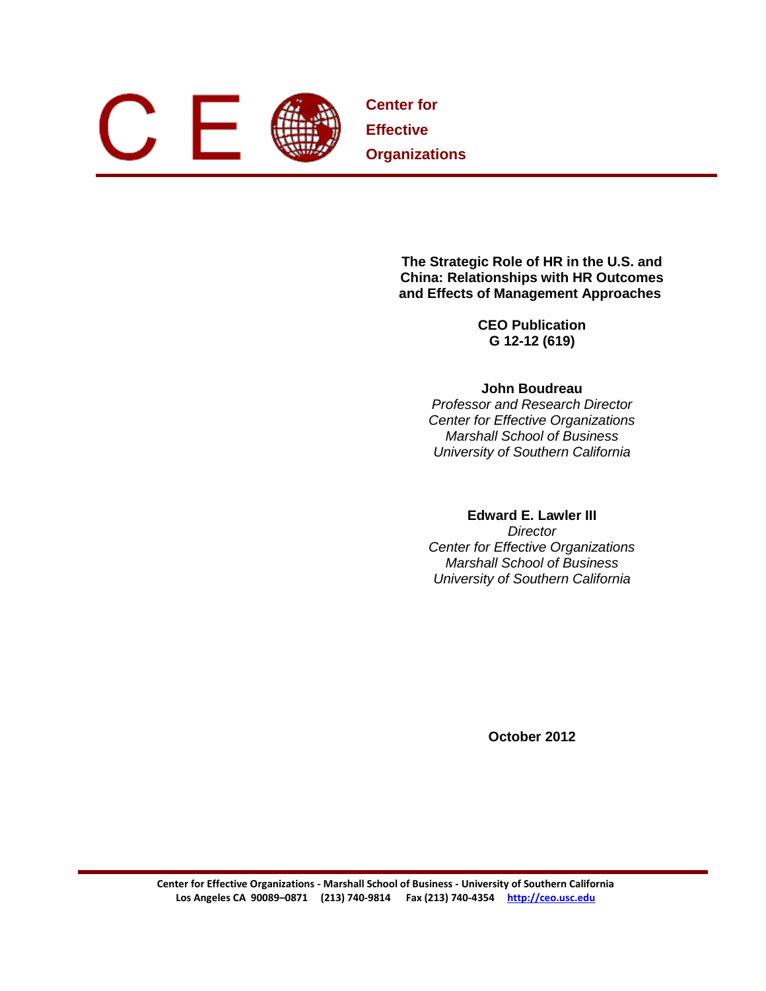

**Center for Effective Organizations**

> **The Strategic Role of HR in the U.S. and China: Relationships with HR Outcomes and Effects of Management Approaches**

> > **CEO Publication G 12-12 (619)**

# **John Boudreau**

*Professor and Research Director Center for Effective Organizations Marshall School of Business University of Southern California*

# **Edward E. Lawler III**

*Director Center for Effective Organizations Marshall School of Business University of Southern California*

**October 2012**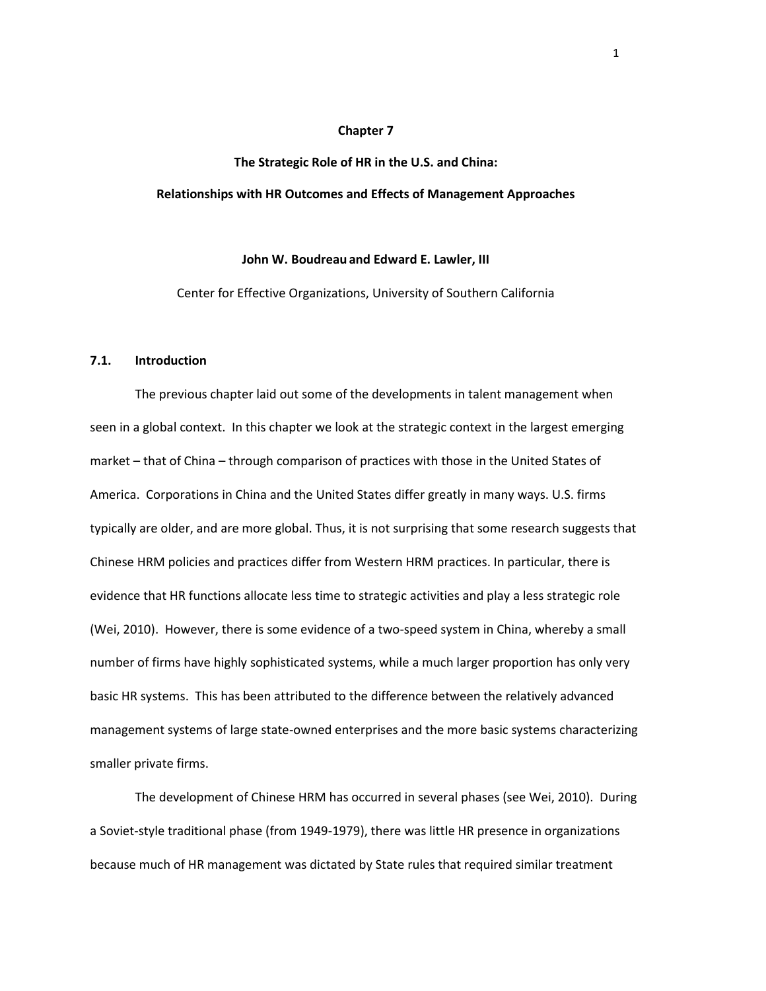## **Chapter 7**

# **The Strategic Role of HR in the U.S. and China: Relationships with HR Outcomes and Effects of Management Approaches**

#### **John W. Boudreau and Edward E. Lawler, III**

Center for Effective Organizations, University of Southern California

#### **7.1. Introduction**

The previous chapter laid out some of the developments in talent management when seen in a global context. In this chapter we look at the strategic context in the largest emerging market – that of China – through comparison of practices with those in the United States of America. Corporations in China and the United States differ greatly in many ways. U.S. firms typically are older, and are more global. Thus, it is not surprising that some research suggests that Chinese HRM policies and practices differ from Western HRM practices. In particular, there is evidence that HR functions allocate less time to strategic activities and play a less strategic role (Wei, 2010). However, there is some evidence of a two-speed system in China, whereby a small number of firms have highly sophisticated systems, while a much larger proportion has only very basic HR systems. This has been attributed to the difference between the relatively advanced management systems of large state-owned enterprises and the more basic systems characterizing smaller private firms.

The development of Chinese HRM has occurred in several phases (see Wei, 2010). During a Soviet-style traditional phase (from 1949-1979), there was little HR presence in organizations because much of HR management was dictated by State rules that required similar treatment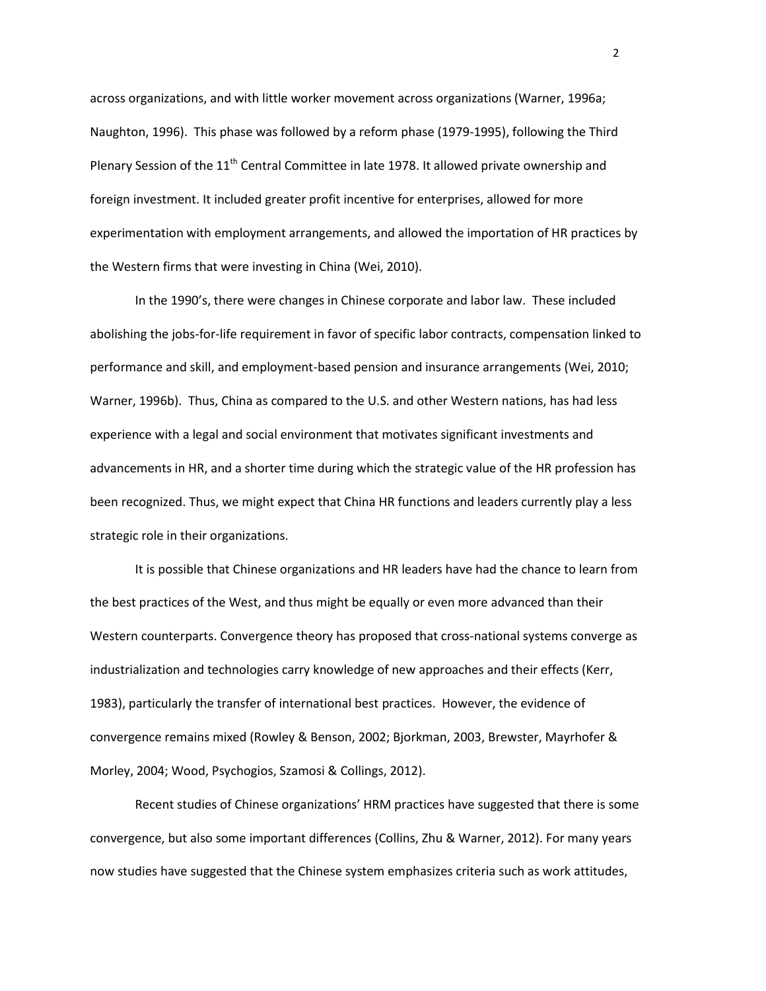across organizations, and with little worker movement across organizations (Warner, 1996a; Naughton, 1996). This phase was followed by a reform phase (1979-1995), following the Third Plenary Session of the  $11<sup>th</sup>$  Central Committee in late 1978. It allowed private ownership and foreign investment. It included greater profit incentive for enterprises, allowed for more experimentation with employment arrangements, and allowed the importation of HR practices by the Western firms that were investing in China (Wei, 2010).

In the 1990's, there were changes in Chinese corporate and labor law. These included abolishing the jobs-for-life requirement in favor of specific labor contracts, compensation linked to performance and skill, and employment-based pension and insurance arrangements (Wei, 2010; Warner, 1996b). Thus, China as compared to the U.S. and other Western nations, has had less experience with a legal and social environment that motivates significant investments and advancements in HR, and a shorter time during which the strategic value of the HR profession has been recognized. Thus, we might expect that China HR functions and leaders currently play a less strategic role in their organizations.

It is possible that Chinese organizations and HR leaders have had the chance to learn from the best practices of the West, and thus might be equally or even more advanced than their Western counterparts. Convergence theory has proposed that cross-national systems converge as industrialization and technologies carry knowledge of new approaches and their effects (Kerr, 1983), particularly the transfer of international best practices. However, the evidence of convergence remains mixed (Rowley & Benson, 2002; Bjorkman, 2003, Brewster, Mayrhofer & Morley, 2004; Wood, Psychogios, Szamosi & Collings, 2012).

Recent studies of Chinese organizations' HRM practices have suggested that there is some convergence, but also some important differences (Collins, Zhu & Warner, 2012). For many years now studies have suggested that the Chinese system emphasizes criteria such as work attitudes,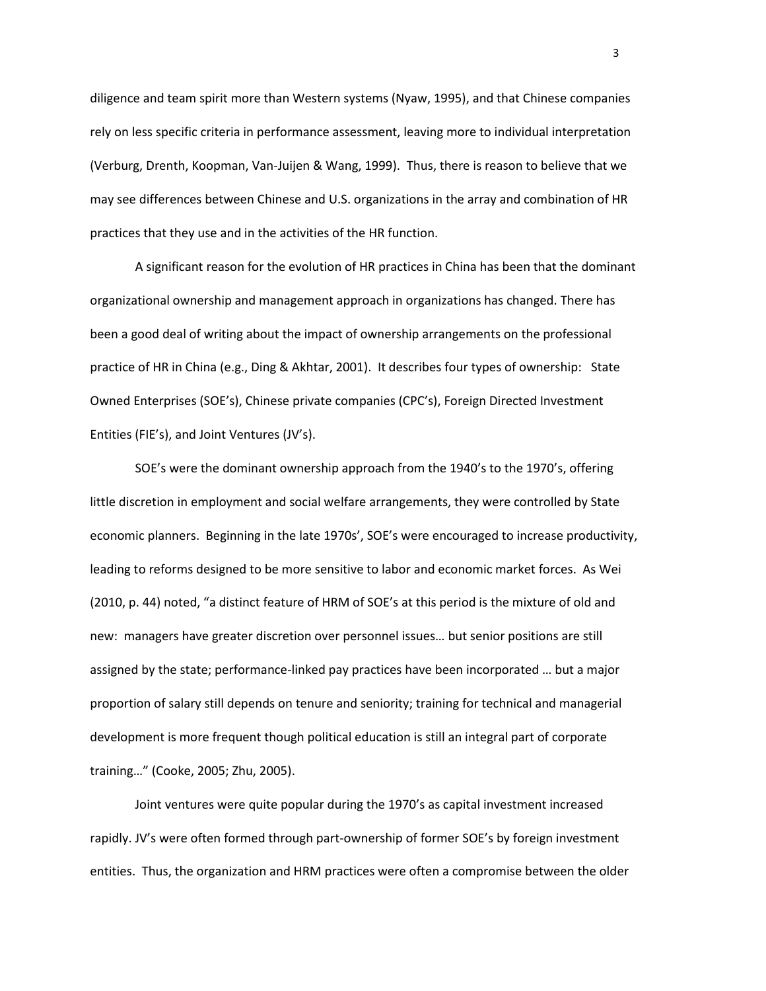diligence and team spirit more than Western systems (Nyaw, 1995), and that Chinese companies rely on less specific criteria in performance assessment, leaving more to individual interpretation (Verburg, Drenth, Koopman, Van-Juijen & Wang, 1999). Thus, there is reason to believe that we may see differences between Chinese and U.S. organizations in the array and combination of HR practices that they use and in the activities of the HR function.

A significant reason for the evolution of HR practices in China has been that the dominant organizational ownership and management approach in organizations has changed. There has been a good deal of writing about the impact of ownership arrangements on the professional practice of HR in China (e.g., Ding & Akhtar, 2001). It describes four types of ownership: State Owned Enterprises (SOE's), Chinese private companies (CPC's), Foreign Directed Investment Entities (FIE's), and Joint Ventures (JV's).

SOE's were the dominant ownership approach from the 1940's to the 1970's, offering little discretion in employment and social welfare arrangements, they were controlled by State economic planners. Beginning in the late 1970s', SOE's were encouraged to increase productivity, leading to reforms designed to be more sensitive to labor and economic market forces. As Wei (2010, p. 44) noted, "a distinct feature of HRM of SOE's at this period is the mixture of old and new: managers have greater discretion over personnel issues… but senior positions are still assigned by the state; performance-linked pay practices have been incorporated … but a major proportion of salary still depends on tenure and seniority; training for technical and managerial development is more frequent though political education is still an integral part of corporate training…" (Cooke, 2005; Zhu, 2005).

Joint ventures were quite popular during the 1970's as capital investment increased rapidly. JV's were often formed through part-ownership of former SOE's by foreign investment entities. Thus, the organization and HRM practices were often a compromise between the older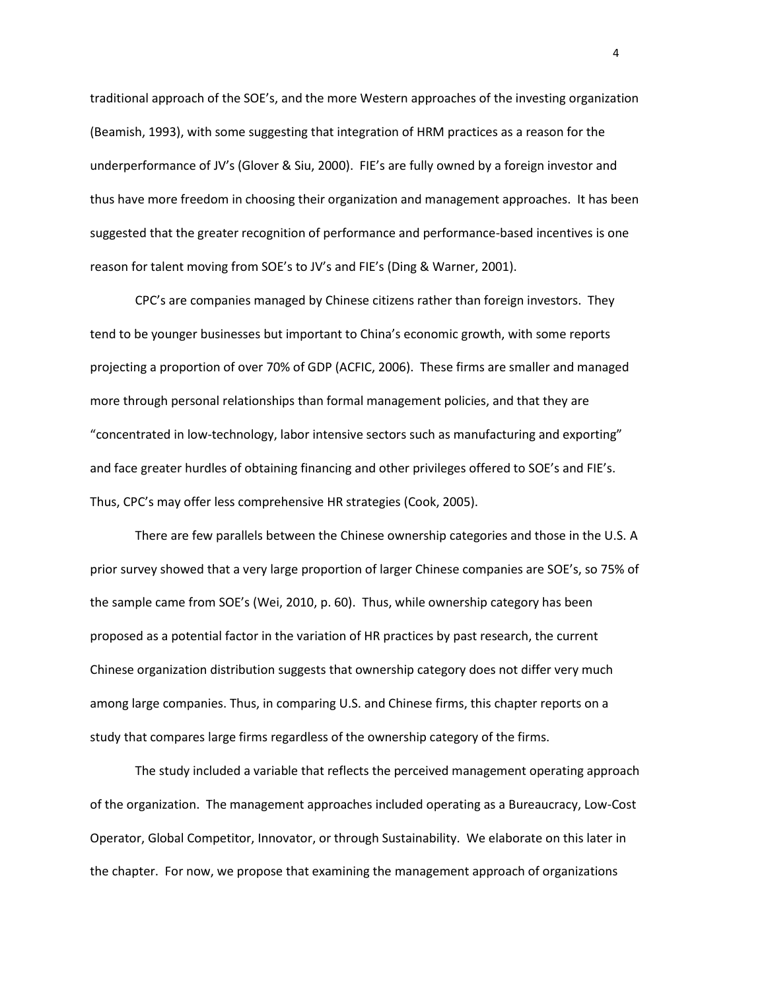traditional approach of the SOE's, and the more Western approaches of the investing organization (Beamish, 1993), with some suggesting that integration of HRM practices as a reason for the underperformance of JV's (Glover & Siu, 2000). FIE's are fully owned by a foreign investor and thus have more freedom in choosing their organization and management approaches. It has been suggested that the greater recognition of performance and performance-based incentives is one reason for talent moving from SOE's to JV's and FIE's (Ding & Warner, 2001).

CPC's are companies managed by Chinese citizens rather than foreign investors. They tend to be younger businesses but important to China's economic growth, with some reports projecting a proportion of over 70% of GDP (ACFIC, 2006). These firms are smaller and managed more through personal relationships than formal management policies, and that they are "concentrated in low-technology, labor intensive sectors such as manufacturing and exporting" and face greater hurdles of obtaining financing and other privileges offered to SOE's and FIE's. Thus, CPC's may offer less comprehensive HR strategies (Cook, 2005).

There are few parallels between the Chinese ownership categories and those in the U.S. A prior survey showed that a very large proportion of larger Chinese companies are SOE's, so 75% of the sample came from SOE's (Wei, 2010, p. 60). Thus, while ownership category has been proposed as a potential factor in the variation of HR practices by past research, the current Chinese organization distribution suggests that ownership category does not differ very much among large companies. Thus, in comparing U.S. and Chinese firms, this chapter reports on a study that compares large firms regardless of the ownership category of the firms.

The study included a variable that reflects the perceived management operating approach of the organization. The management approaches included operating as a Bureaucracy, Low-Cost Operator, Global Competitor, Innovator, or through Sustainability. We elaborate on this later in the chapter. For now, we propose that examining the management approach of organizations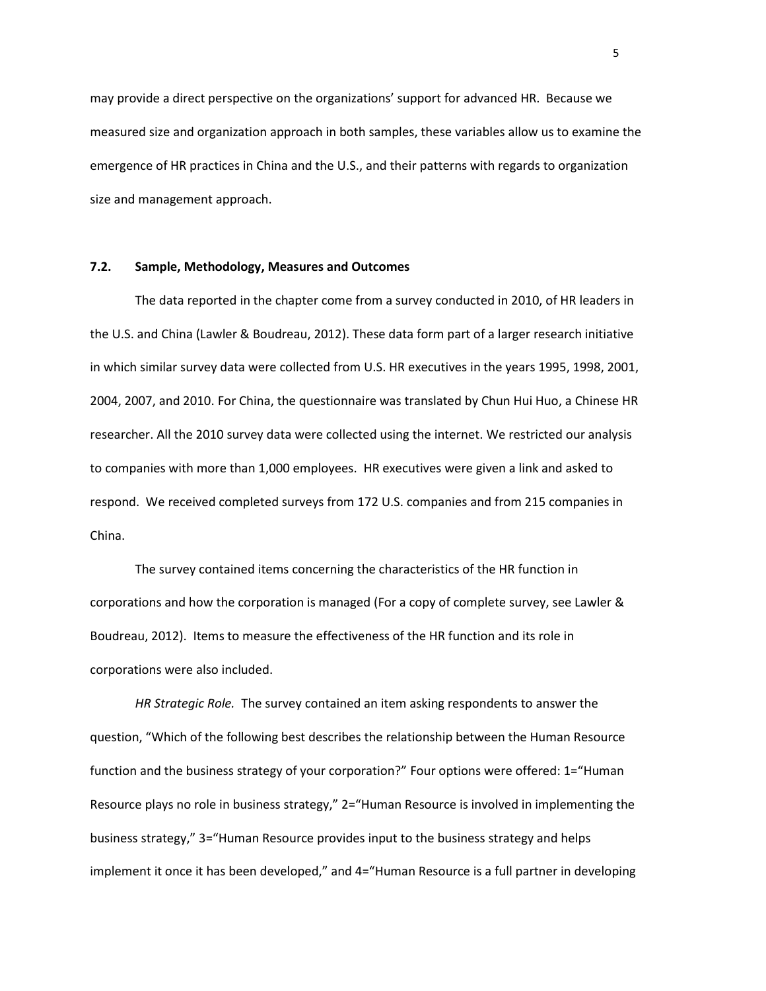may provide a direct perspective on the organizations' support for advanced HR. Because we measured size and organization approach in both samples, these variables allow us to examine the emergence of HR practices in China and the U.S., and their patterns with regards to organization size and management approach.

## **7.2. Sample, Methodology, Measures and Outcomes**

The data reported in the chapter come from a survey conducted in 2010, of HR leaders in the U.S. and China (Lawler & Boudreau, 2012). These data form part of a larger research initiative in which similar survey data were collected from U.S. HR executives in the years 1995, 1998, 2001, 2004, 2007, and 2010. For China, the questionnaire was translated by Chun Hui Huo, a Chinese HR researcher. All the 2010 survey data were collected using the internet. We restricted our analysis to companies with more than 1,000 employees. HR executives were given a link and asked to respond. We received completed surveys from 172 U.S. companies and from 215 companies in China.

The survey contained items concerning the characteristics of the HR function in corporations and how the corporation is managed (For a copy of complete survey, see Lawler & Boudreau, 2012). Items to measure the effectiveness of the HR function and its role in corporations were also included.

*HR Strategic Role.* The survey contained an item asking respondents to answer the question, "Which of the following best describes the relationship between the Human Resource function and the business strategy of your corporation?" Four options were offered: 1="Human Resource plays no role in business strategy," 2="Human Resource is involved in implementing the business strategy," 3="Human Resource provides input to the business strategy and helps implement it once it has been developed," and 4="Human Resource is a full partner in developing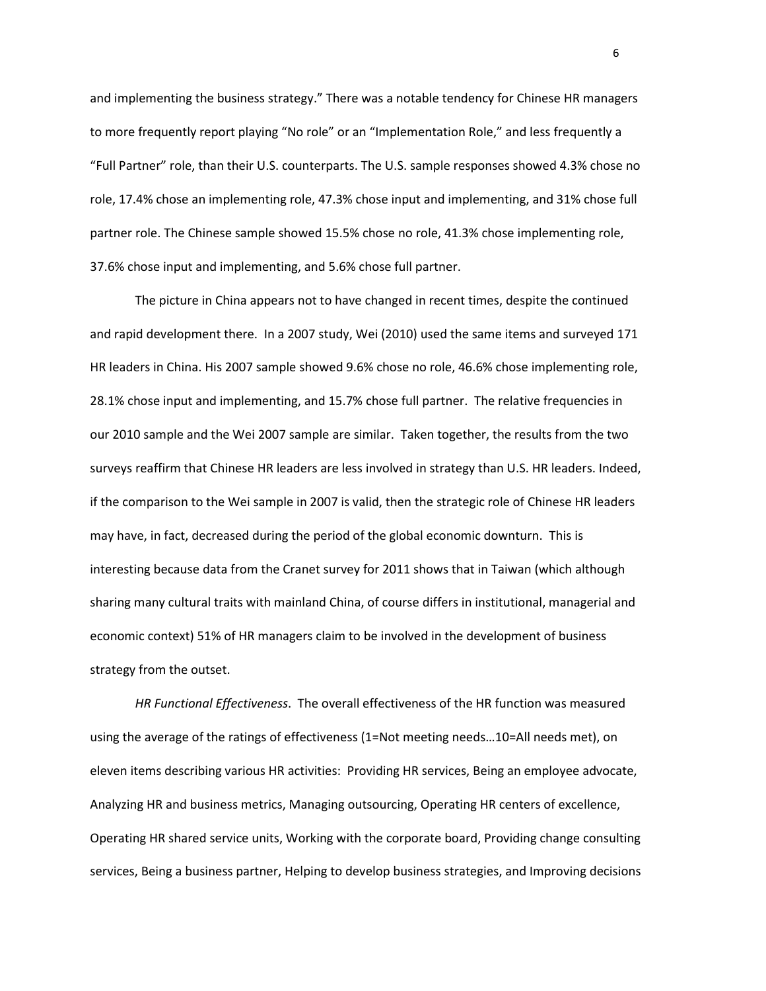and implementing the business strategy." There was a notable tendency for Chinese HR managers to more frequently report playing "No role" or an "Implementation Role," and less frequently a "Full Partner" role, than their U.S. counterparts. The U.S. sample responses showed 4.3% chose no role, 17.4% chose an implementing role, 47.3% chose input and implementing, and 31% chose full partner role. The Chinese sample showed 15.5% chose no role, 41.3% chose implementing role, 37.6% chose input and implementing, and 5.6% chose full partner.

The picture in China appears not to have changed in recent times, despite the continued and rapid development there. In a 2007 study, Wei (2010) used the same items and surveyed 171 HR leaders in China. His 2007 sample showed 9.6% chose no role, 46.6% chose implementing role, 28.1% chose input and implementing, and 15.7% chose full partner. The relative frequencies in our 2010 sample and the Wei 2007 sample are similar. Taken together, the results from the two surveys reaffirm that Chinese HR leaders are less involved in strategy than U.S. HR leaders. Indeed, if the comparison to the Wei sample in 2007 is valid, then the strategic role of Chinese HR leaders may have, in fact, decreased during the period of the global economic downturn. This is interesting because data from the Cranet survey for 2011 shows that in Taiwan (which although sharing many cultural traits with mainland China, of course differs in institutional, managerial and economic context) 51% of HR managers claim to be involved in the development of business strategy from the outset.

*HR Functional Effectiveness*. The overall effectiveness of the HR function was measured using the average of the ratings of effectiveness (1=Not meeting needs…10=All needs met), on eleven items describing various HR activities: Providing HR services, Being an employee advocate, Analyzing HR and business metrics, Managing outsourcing, Operating HR centers of excellence, Operating HR shared service units, Working with the corporate board, Providing change consulting services, Being a business partner, Helping to develop business strategies, and Improving decisions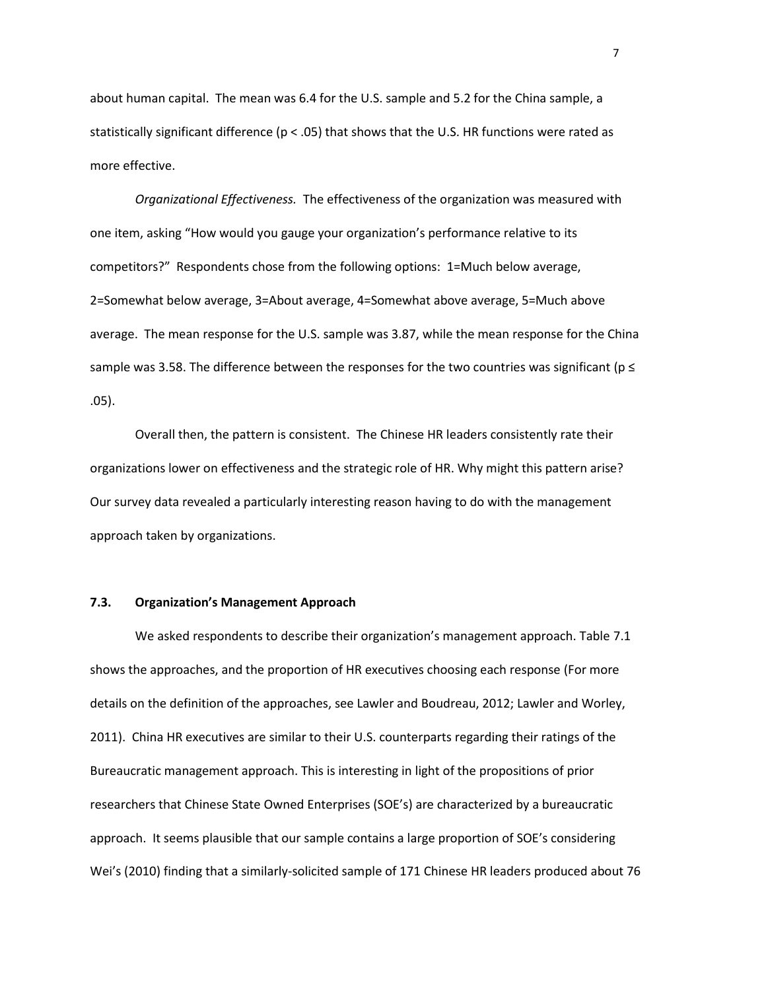about human capital. The mean was 6.4 for the U.S. sample and 5.2 for the China sample, a statistically significant difference ( $p < .05$ ) that shows that the U.S. HR functions were rated as more effective.

*Organizational Effectiveness.* The effectiveness of the organization was measured with one item, asking "How would you gauge your organization's performance relative to its competitors?" Respondents chose from the following options: 1=Much below average, 2=Somewhat below average, 3=About average, 4=Somewhat above average, 5=Much above average. The mean response for the U.S. sample was 3.87, while the mean response for the China sample was 3.58. The difference between the responses for the two countries was significant ( $p \le$ .05).

Overall then, the pattern is consistent. The Chinese HR leaders consistently rate their organizations lower on effectiveness and the strategic role of HR. Why might this pattern arise? Our survey data revealed a particularly interesting reason having to do with the management approach taken by organizations.

#### **7.3. Organization's Management Approach**

We asked respondents to describe their organization's management approach. Table 7.1 shows the approaches, and the proportion of HR executives choosing each response (For more details on the definition of the approaches, see Lawler and Boudreau, 2012; Lawler and Worley, 2011). China HR executives are similar to their U.S. counterparts regarding their ratings of the Bureaucratic management approach. This is interesting in light of the propositions of prior researchers that Chinese State Owned Enterprises (SOE's) are characterized by a bureaucratic approach. It seems plausible that our sample contains a large proportion of SOE's considering Wei's (2010) finding that a similarly-solicited sample of 171 Chinese HR leaders produced about 76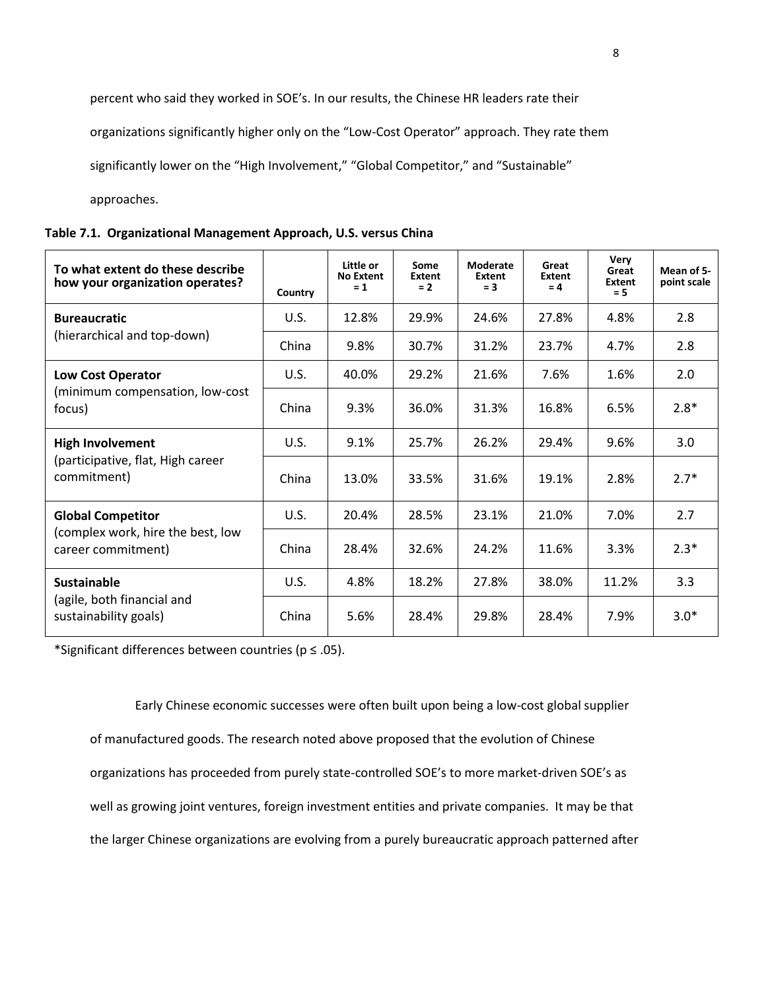percent who said they worked in SOE's. In our results, the Chinese HR leaders rate their

organizations significantly higher only on the "Low-Cost Operator" approach. They rate them

significantly lower on the "High Involvement," "Global Competitor," and "Sustainable"

approaches.

| To what extent do these describe<br>how your organization operates?         | Country | Little or<br><b>No Extent</b><br>$= 1$ | Some<br>Extent<br>$= 2$ | Moderate<br>Extent<br>$= 3$ | Great<br>Extent<br>$= 4$ | Very<br>Great<br>Extent<br>$= 5$ | Mean of 5-<br>point scale |
|-----------------------------------------------------------------------------|---------|----------------------------------------|-------------------------|-----------------------------|--------------------------|----------------------------------|---------------------------|
| <b>Bureaucratic</b>                                                         | U.S.    | 12.8%                                  | 29.9%                   | 24.6%                       | 27.8%                    | 4.8%                             | 2.8                       |
| (hierarchical and top-down)                                                 | China   | 9.8%                                   | 30.7%                   | 31.2%                       | 23.7%                    | 4.7%                             | 2.8                       |
| <b>Low Cost Operator</b>                                                    | U.S.    | 40.0%                                  | 29.2%                   | 21.6%                       | 7.6%                     | 1.6%                             | 2.0                       |
| (minimum compensation, low-cost<br>focus)                                   | China   | 9.3%                                   | 36.0%                   | 31.3%                       | 16.8%                    | 6.5%                             | $2.8*$                    |
| <b>High Involvement</b><br>(participative, flat, High career<br>commitment) | U.S.    | 9.1%                                   | 25.7%                   | 26.2%                       | 29.4%                    | 9.6%                             | 3.0                       |
|                                                                             | China   | 13.0%                                  | 33.5%                   | 31.6%                       | 19.1%                    | 2.8%                             | $2.7*$                    |
| <b>Global Competitor</b>                                                    | U.S.    | 20.4%                                  | 28.5%                   | 23.1%                       | 21.0%                    | 7.0%                             | 2.7                       |
| (complex work, hire the best, low<br>career commitment)                     | China   | 28.4%                                  | 32.6%                   | 24.2%                       | 11.6%                    | 3.3%                             | $2.3*$                    |
| <b>Sustainable</b>                                                          | U.S.    | 4.8%                                   | 18.2%                   | 27.8%                       | 38.0%                    | 11.2%                            | 3.3                       |
| (agile, both financial and<br>sustainability goals)                         | China   | 5.6%                                   | 28.4%                   | 29.8%                       | 28.4%                    | 7.9%                             | $3.0*$                    |

\*Significant differences between countries (p ≤ .05).

Early Chinese economic successes were often built upon being a low-cost global supplier of manufactured goods. The research noted above proposed that the evolution of Chinese organizations has proceeded from purely state-controlled SOE's to more market-driven SOE's as well as growing joint ventures, foreign investment entities and private companies. It may be that the larger Chinese organizations are evolving from a purely bureaucratic approach patterned after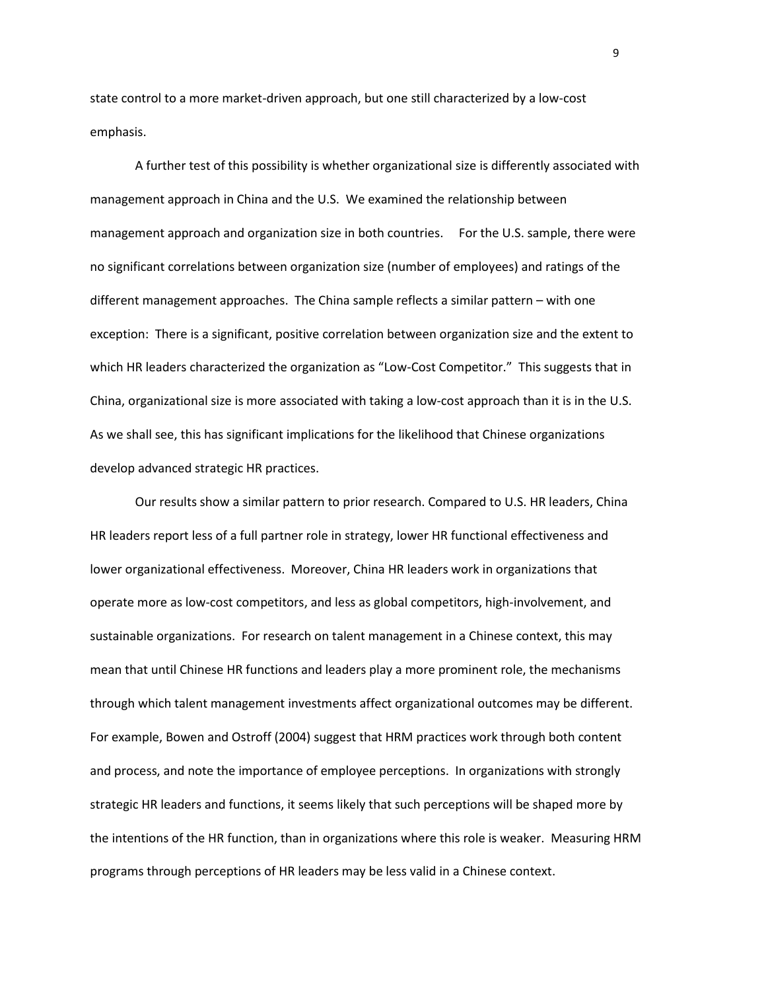state control to a more market-driven approach, but one still characterized by a low-cost emphasis.

A further test of this possibility is whether organizational size is differently associated with management approach in China and the U.S. We examined the relationship between management approach and organization size in both countries. For the U.S. sample, there were no significant correlations between organization size (number of employees) and ratings of the different management approaches. The China sample reflects a similar pattern – with one exception: There is a significant, positive correlation between organization size and the extent to which HR leaders characterized the organization as "Low-Cost Competitor." This suggests that in China, organizational size is more associated with taking a low-cost approach than it is in the U.S. As we shall see, this has significant implications for the likelihood that Chinese organizations develop advanced strategic HR practices.

Our results show a similar pattern to prior research. Compared to U.S. HR leaders, China HR leaders report less of a full partner role in strategy, lower HR functional effectiveness and lower organizational effectiveness. Moreover, China HR leaders work in organizations that operate more as low-cost competitors, and less as global competitors, high-involvement, and sustainable organizations. For research on talent management in a Chinese context, this may mean that until Chinese HR functions and leaders play a more prominent role, the mechanisms through which talent management investments affect organizational outcomes may be different. For example, Bowen and Ostroff (2004) suggest that HRM practices work through both content and process, and note the importance of employee perceptions. In organizations with strongly strategic HR leaders and functions, it seems likely that such perceptions will be shaped more by the intentions of the HR function, than in organizations where this role is weaker. Measuring HRM programs through perceptions of HR leaders may be less valid in a Chinese context.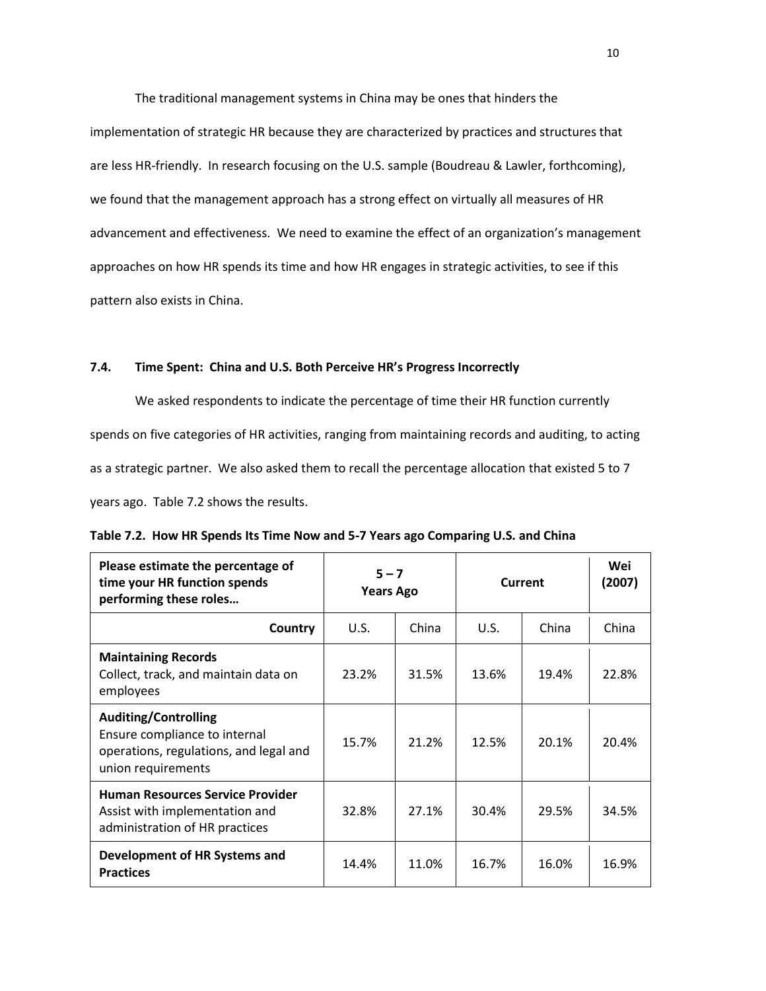The traditional management systems in China may be ones that hinders the

implementation of strategic HR because they are characterized by practices and structures that are less HR-friendly. In research focusing on the U.S. sample (Boudreau & Lawler, forthcoming), we found that the management approach has a strong effect on virtually all measures of HR advancement and effectiveness. We need to examine the effect of an organization's management approaches on how HR spends its time and how HR engages in strategic activities, to see if this pattern also exists in China.

# **7.4. Time Spent: China and U.S. Both Perceive HR's Progress Incorrectly**

We asked respondents to indicate the percentage of time their HR function currently spends on five categories of HR activities, ranging from maintaining records and auditing, to acting as a strategic partner. We also asked them to recall the percentage allocation that existed 5 to 7 years ago. Table 7.2 shows the results.

| Please estimate the percentage of<br>time your HR function spends<br>performing these roles                                  | $5 - 7$<br><b>Years Ago</b> |       | Current | Wei<br>(2007) |       |
|------------------------------------------------------------------------------------------------------------------------------|-----------------------------|-------|---------|---------------|-------|
| Country                                                                                                                      | U.S.                        | China | U.S.    | China         | China |
| <b>Maintaining Records</b><br>Collect, track, and maintain data on<br>employees                                              | 23.2%                       | 31.5% | 13.6%   | 19.4%         | 22.8% |
| <b>Auditing/Controlling</b><br>Ensure compliance to internal<br>operations, regulations, and legal and<br>union requirements | 15.7%                       | 21.2% | 12.5%   | 20.1%         | 20.4% |
| <b>Human Resources Service Provider</b><br>Assist with implementation and<br>administration of HR practices                  | 32.8%                       | 27.1% | 30.4%   | 29.5%         | 34.5% |
| Development of HR Systems and<br><b>Practices</b>                                                                            | 14.4%                       | 11.0% | 16.7%   | 16.0%         | 16.9% |

|  | Table 7.2. How HR Spends Its Time Now and 5-7 Years ago Comparing U.S. and China |
|--|----------------------------------------------------------------------------------|
|--|----------------------------------------------------------------------------------|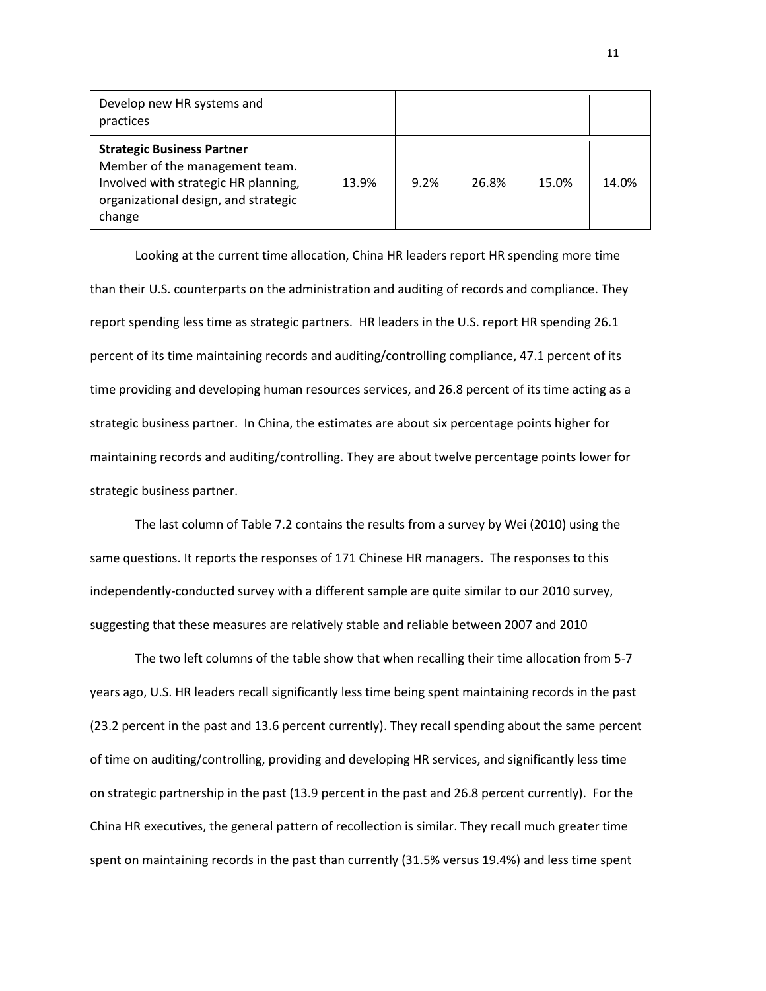| Develop new HR systems and<br>practices                                                                                                                       |       |      |       |       |       |
|---------------------------------------------------------------------------------------------------------------------------------------------------------------|-------|------|-------|-------|-------|
| <b>Strategic Business Partner</b><br>Member of the management team.<br>Involved with strategic HR planning,<br>organizational design, and strategic<br>change | 13.9% | 9.2% | 26.8% | 15.0% | 14.0% |

Looking at the current time allocation, China HR leaders report HR spending more time than their U.S. counterparts on the administration and auditing of records and compliance. They report spending less time as strategic partners. HR leaders in the U.S. report HR spending 26.1 percent of its time maintaining records and auditing/controlling compliance, 47.1 percent of its time providing and developing human resources services, and 26.8 percent of its time acting as a strategic business partner. In China, the estimates are about six percentage points higher for maintaining records and auditing/controlling. They are about twelve percentage points lower for strategic business partner.

The last column of Table 7.2 contains the results from a survey by Wei (2010) using the same questions. It reports the responses of 171 Chinese HR managers. The responses to this independently-conducted survey with a different sample are quite similar to our 2010 survey, suggesting that these measures are relatively stable and reliable between 2007 and 2010

The two left columns of the table show that when recalling their time allocation from 5-7 years ago, U.S. HR leaders recall significantly less time being spent maintaining records in the past (23.2 percent in the past and 13.6 percent currently). They recall spending about the same percent of time on auditing/controlling, providing and developing HR services, and significantly less time on strategic partnership in the past (13.9 percent in the past and 26.8 percent currently). For the China HR executives, the general pattern of recollection is similar. They recall much greater time spent on maintaining records in the past than currently (31.5% versus 19.4%) and less time spent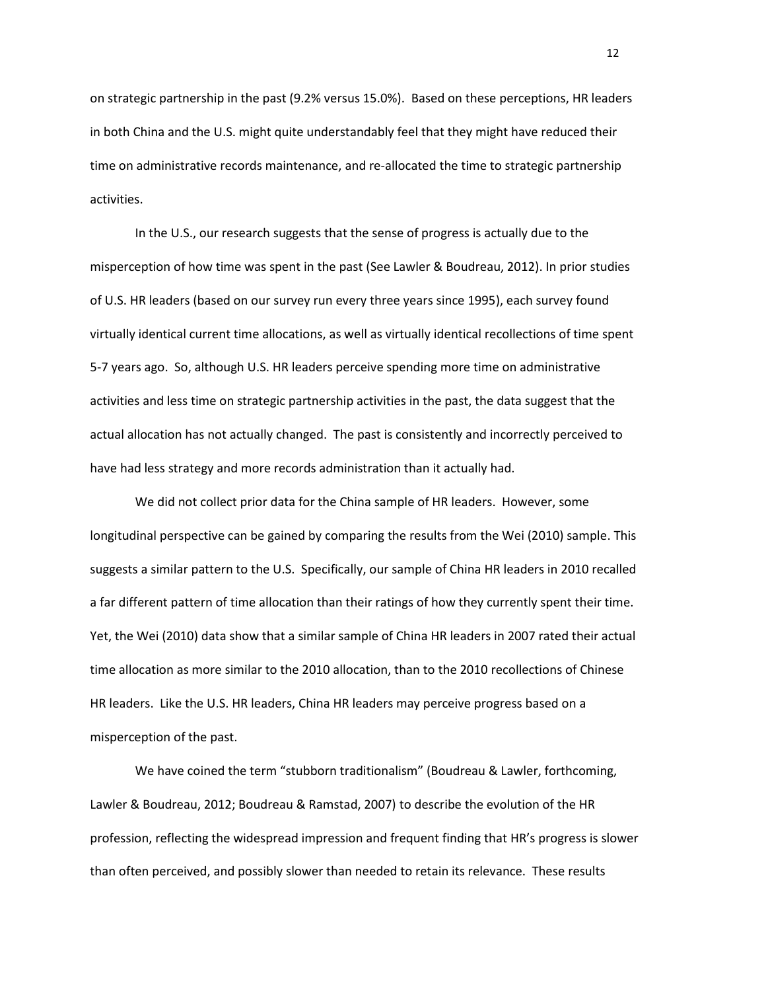on strategic partnership in the past (9.2% versus 15.0%). Based on these perceptions, HR leaders in both China and the U.S. might quite understandably feel that they might have reduced their time on administrative records maintenance, and re-allocated the time to strategic partnership activities.

In the U.S., our research suggests that the sense of progress is actually due to the misperception of how time was spent in the past (See Lawler & Boudreau, 2012). In prior studies of U.S. HR leaders (based on our survey run every three years since 1995), each survey found virtually identical current time allocations, as well as virtually identical recollections of time spent 5-7 years ago. So, although U.S. HR leaders perceive spending more time on administrative activities and less time on strategic partnership activities in the past, the data suggest that the actual allocation has not actually changed. The past is consistently and incorrectly perceived to have had less strategy and more records administration than it actually had.

We did not collect prior data for the China sample of HR leaders. However, some longitudinal perspective can be gained by comparing the results from the Wei (2010) sample. This suggests a similar pattern to the U.S. Specifically, our sample of China HR leaders in 2010 recalled a far different pattern of time allocation than their ratings of how they currently spent their time. Yet, the Wei (2010) data show that a similar sample of China HR leaders in 2007 rated their actual time allocation as more similar to the 2010 allocation, than to the 2010 recollections of Chinese HR leaders. Like the U.S. HR leaders, China HR leaders may perceive progress based on a misperception of the past.

We have coined the term "stubborn traditionalism" (Boudreau & Lawler, forthcoming, Lawler & Boudreau, 2012; Boudreau & Ramstad, 2007) to describe the evolution of the HR profession, reflecting the widespread impression and frequent finding that HR's progress is slower than often perceived, and possibly slower than needed to retain its relevance. These results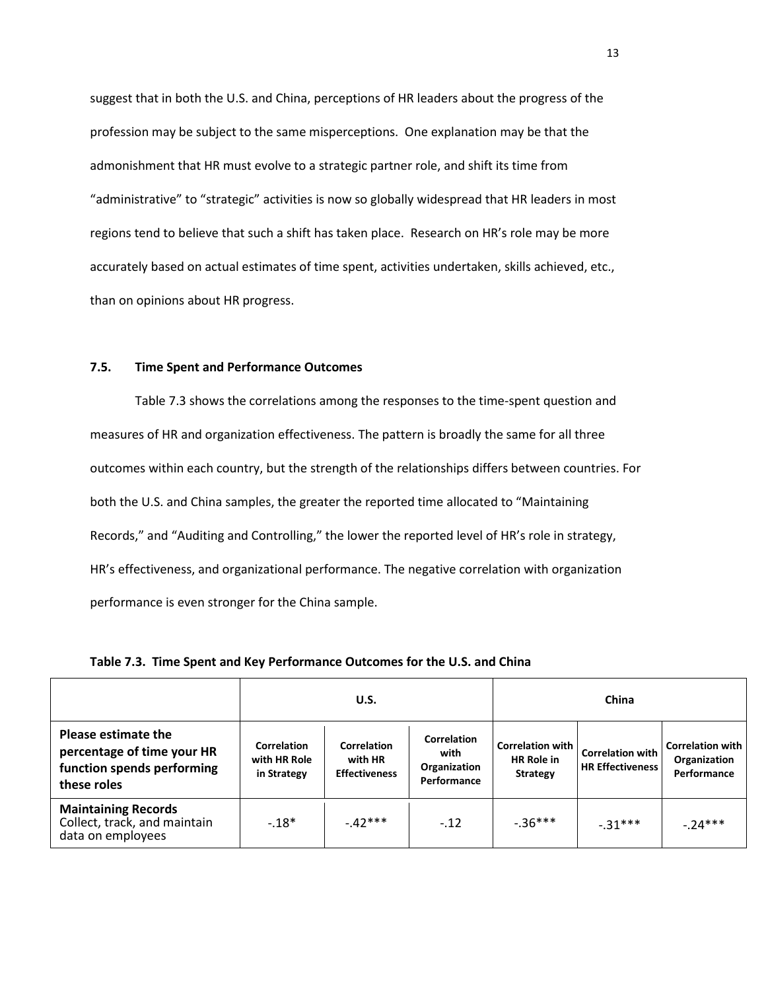suggest that in both the U.S. and China, perceptions of HR leaders about the progress of the profession may be subject to the same misperceptions. One explanation may be that the admonishment that HR must evolve to a strategic partner role, and shift its time from "administrative" to "strategic" activities is now so globally widespread that HR leaders in most regions tend to believe that such a shift has taken place. Research on HR's role may be more accurately based on actual estimates of time spent, activities undertaken, skills achieved, etc., than on opinions about HR progress.

## **7.5. Time Spent and Performance Outcomes**

Table 7.3 shows the correlations among the responses to the time-spent question and measures of HR and organization effectiveness. The pattern is broadly the same for all three outcomes within each country, but the strength of the relationships differs between countries. For both the U.S. and China samples, the greater the reported time allocated to "Maintaining Records," and "Auditing and Controlling," the lower the reported level of HR's role in strategy, HR's effectiveness, and organizational performance. The negative correlation with organization performance is even stronger for the China sample.

|                                                                                                       |                                                                                                     | U.S.     |                                                           | China                                                    |                                                    |                                                          |  |
|-------------------------------------------------------------------------------------------------------|-----------------------------------------------------------------------------------------------------|----------|-----------------------------------------------------------|----------------------------------------------------------|----------------------------------------------------|----------------------------------------------------------|--|
| <b>Please estimate the</b><br>percentage of time your HR<br>function spends performing<br>these roles | Correlation<br><b>Correlation</b><br>with HR Role<br>with HR<br><b>Effectiveness</b><br>in Strategy |          | <b>Correlation</b><br>with<br>Organization<br>Performance | <b>Correlation with</b><br><b>HR Role in</b><br>Strategy | <b>Correlation with</b><br><b>HR Effectiveness</b> | <b>Correlation with I</b><br>Organization<br>Performance |  |
| <b>Maintaining Records</b><br>Collect, track, and maintain<br>data on employees                       | $-18*$                                                                                              | $-42***$ | $-12$                                                     | $-36***$                                                 | $-31***$                                           | $-24***$                                                 |  |

**Table 7.3. Time Spent and Key Performance Outcomes for the U.S. and China**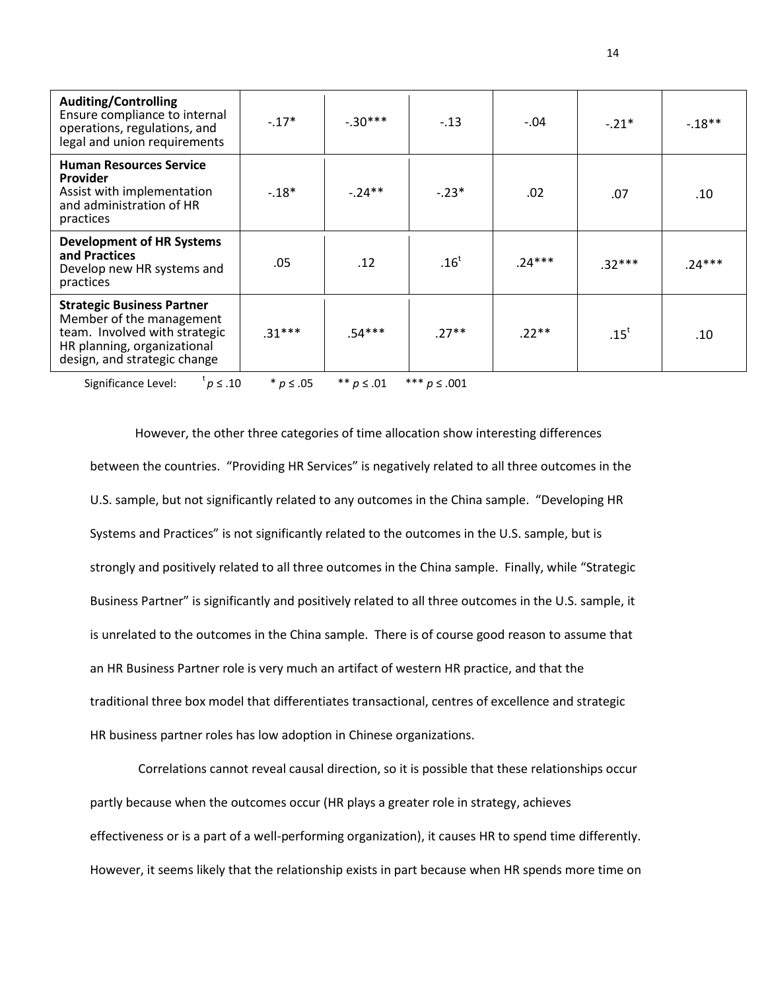| <b>Auditing/Controlling</b><br>Ensure compliance to internal<br>operations, regulations, and<br>legal and union requirements                                  | $-17*$   | $-.30***$ | $-.13$  | $-.04$   | $-.21*$  | $-.18**$ |
|---------------------------------------------------------------------------------------------------------------------------------------------------------------|----------|-----------|---------|----------|----------|----------|
| <b>Human Resources Service</b><br><b>Provider</b><br>Assist with implementation<br>and administration of HR<br>practices                                      | $-.18*$  | $-24**$   | $-.23*$ | .02      | .07      | .10      |
| <b>Development of HR Systems</b><br>and Practices<br>Develop new HR systems and<br>practices                                                                  | .05      | .12       | $.16^t$ | $.24***$ | $.32***$ | $.24***$ |
| <b>Strategic Business Partner</b><br>Member of the management<br>team. Involved with strategic<br>HR planning, organizational<br>design, and strategic change | $.31***$ | .54***    | $.27**$ | $.22**$  | $.15^t$  | .10      |

Significance Level:  $p \leq .10$ *p* ≤ .10 \* *p* ≤ .05 \*\* *p* ≤ .01 \*\*\* *p* ≤ .001

However, the other three categories of time allocation show interesting differences between the countries. "Providing HR Services" is negatively related to all three outcomes in the U.S. sample, but not significantly related to any outcomes in the China sample. "Developing HR Systems and Practices" is not significantly related to the outcomes in the U.S. sample, but is strongly and positively related to all three outcomes in the China sample. Finally, while "Strategic Business Partner" is significantly and positively related to all three outcomes in the U.S. sample, it is unrelated to the outcomes in the China sample. There is of course good reason to assume that an HR Business Partner role is very much an artifact of western HR practice, and that the traditional three box model that differentiates transactional, centres of excellence and strategic HR business partner roles has low adoption in Chinese organizations.

Correlations cannot reveal causal direction, so it is possible that these relationships occur partly because when the outcomes occur (HR plays a greater role in strategy, achieves effectiveness or is a part of a well-performing organization), it causes HR to spend time differently. However, it seems likely that the relationship exists in part because when HR spends more time on

14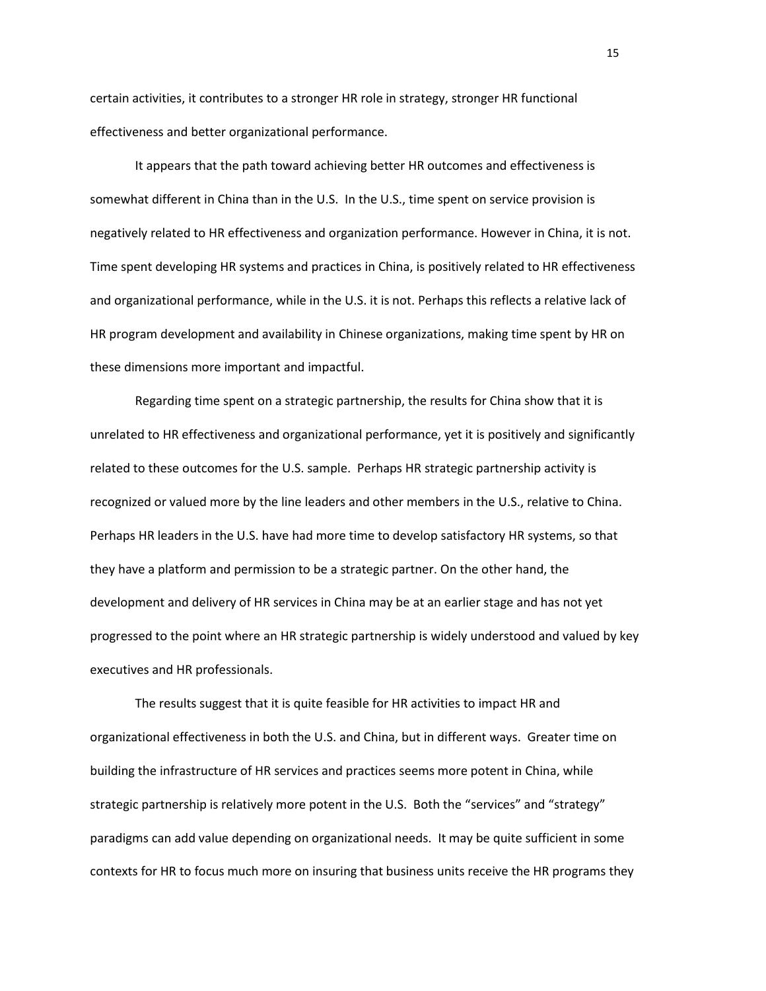certain activities, it contributes to a stronger HR role in strategy, stronger HR functional effectiveness and better organizational performance.

It appears that the path toward achieving better HR outcomes and effectiveness is somewhat different in China than in the U.S. In the U.S., time spent on service provision is negatively related to HR effectiveness and organization performance. However in China, it is not. Time spent developing HR systems and practices in China, is positively related to HR effectiveness and organizational performance, while in the U.S. it is not. Perhaps this reflects a relative lack of HR program development and availability in Chinese organizations, making time spent by HR on these dimensions more important and impactful.

Regarding time spent on a strategic partnership, the results for China show that it is unrelated to HR effectiveness and organizational performance, yet it is positively and significantly related to these outcomes for the U.S. sample. Perhaps HR strategic partnership activity is recognized or valued more by the line leaders and other members in the U.S., relative to China. Perhaps HR leaders in the U.S. have had more time to develop satisfactory HR systems, so that they have a platform and permission to be a strategic partner. On the other hand, the development and delivery of HR services in China may be at an earlier stage and has not yet progressed to the point where an HR strategic partnership is widely understood and valued by key executives and HR professionals.

The results suggest that it is quite feasible for HR activities to impact HR and organizational effectiveness in both the U.S. and China, but in different ways. Greater time on building the infrastructure of HR services and practices seems more potent in China, while strategic partnership is relatively more potent in the U.S. Both the "services" and "strategy" paradigms can add value depending on organizational needs. It may be quite sufficient in some contexts for HR to focus much more on insuring that business units receive the HR programs they

15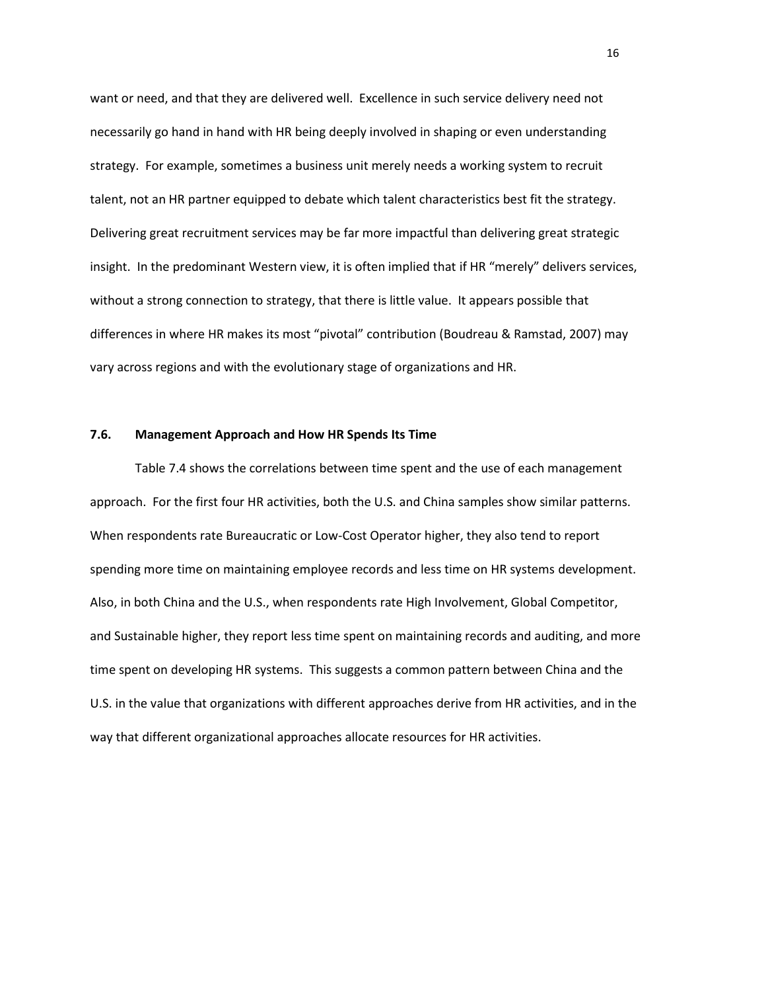want or need, and that they are delivered well. Excellence in such service delivery need not necessarily go hand in hand with HR being deeply involved in shaping or even understanding strategy. For example, sometimes a business unit merely needs a working system to recruit talent, not an HR partner equipped to debate which talent characteristics best fit the strategy. Delivering great recruitment services may be far more impactful than delivering great strategic insight. In the predominant Western view, it is often implied that if HR "merely" delivers services, without a strong connection to strategy, that there is little value. It appears possible that differences in where HR makes its most "pivotal" contribution (Boudreau & Ramstad, 2007) may vary across regions and with the evolutionary stage of organizations and HR.

## **7.6. Management Approach and How HR Spends Its Time**

Table 7.4 shows the correlations between time spent and the use of each management approach. For the first four HR activities, both the U.S. and China samples show similar patterns. When respondents rate Bureaucratic or Low-Cost Operator higher, they also tend to report spending more time on maintaining employee records and less time on HR systems development. Also, in both China and the U.S., when respondents rate High Involvement, Global Competitor, and Sustainable higher, they report less time spent on maintaining records and auditing, and more time spent on developing HR systems. This suggests a common pattern between China and the U.S. in the value that organizations with different approaches derive from HR activities, and in the way that different organizational approaches allocate resources for HR activities.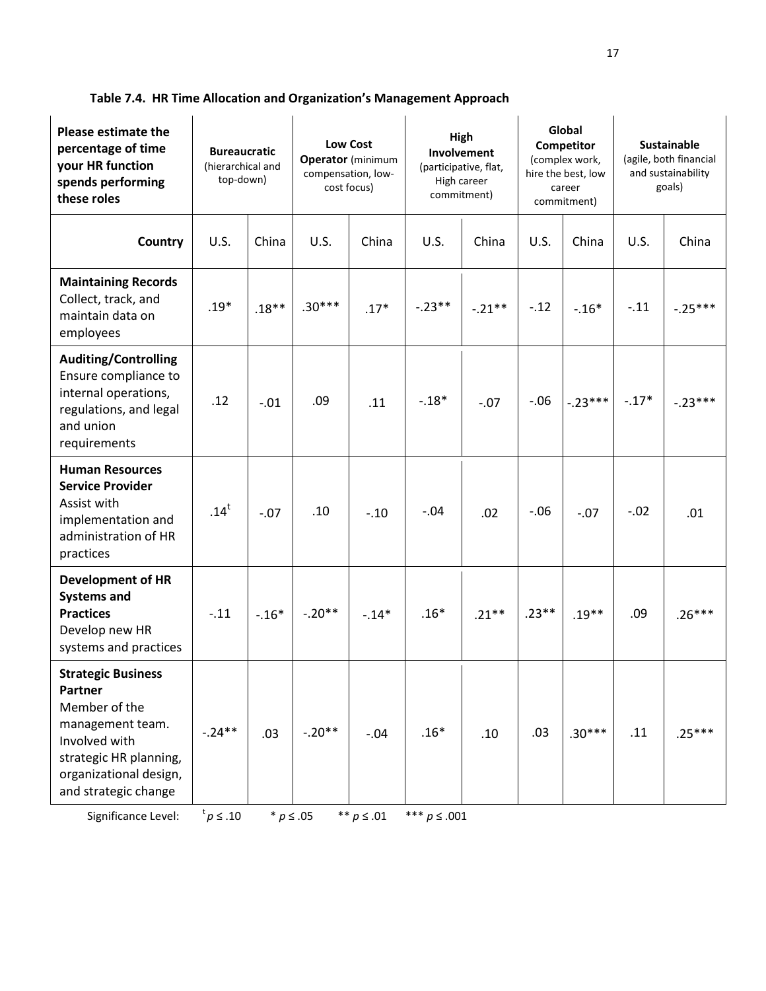| <b>Please estimate the</b><br>percentage of time<br>your HR function<br>spends performing<br>these roles                                                               | <b>Bureaucratic</b><br>(hierarchical and<br>top-down) |         | Low Cost<br><b>Operator</b> (minimum<br>compensation, low-<br>cost focus) |         | High<br>Involvement<br>(participative, flat,<br>High career<br>commitment) |           | Global<br>Competitor<br>(complex work,<br>hire the best, low<br>career<br>commitment) |                 | <b>Sustainable</b><br>(agile, both financial<br>and sustainability<br>goals) |           |
|------------------------------------------------------------------------------------------------------------------------------------------------------------------------|-------------------------------------------------------|---------|---------------------------------------------------------------------------|---------|----------------------------------------------------------------------------|-----------|---------------------------------------------------------------------------------------|-----------------|------------------------------------------------------------------------------|-----------|
| Country                                                                                                                                                                | U.S.                                                  | China   | U.S.                                                                      | China   | U.S.                                                                       | China     | U.S.                                                                                  | China           | U.S.                                                                         | China     |
| <b>Maintaining Records</b><br>Collect, track, and<br>maintain data on<br>employees                                                                                     | $.19*$                                                | $.18**$ | $.30***$                                                                  | $.17*$  | $-.23**$                                                                   | $-.21***$ | $-.12$                                                                                | $-.16*$         | $-.11$                                                                       | $-.25***$ |
| <b>Auditing/Controlling</b><br>Ensure compliance to<br>internal operations,<br>regulations, and legal<br>and union<br>requirements                                     | .12                                                   | $-.01$  | .09                                                                       | .11     | $-.18*$                                                                    | $-.07$    | $-.06$                                                                                | $-.23***$ -.17* |                                                                              | $-.23***$ |
| <b>Human Resources</b><br><b>Service Provider</b><br>Assist with<br>implementation and<br>administration of HR<br>practices                                            | .14 <sup>t</sup>                                      | $-.07$  | .10                                                                       | $-.10$  | $-.04$                                                                     | .02       | $-.06$                                                                                | $-.07$          | $-.02$                                                                       | .01       |
| <b>Development of HR</b><br><b>Systems and</b><br><b>Practices</b><br>Develop new HR<br>systems and practices                                                          | $-.11$                                                | $-.16*$ | $-.20**$                                                                  | $-.14*$ | $.16*$                                                                     | $.21***$  | $.23**$                                                                               | $.19**$         | .09                                                                          | $.26***$  |
| <b>Strategic Business</b><br>Partner<br>Member of the<br>management team.<br>Involved with<br>strategic HR planning,<br>organizational design,<br>and strategic change | $-.24**$                                              | .03     | $-.20**$                                                                  | $-.04$  | $.16*$                                                                     | .10       | .03                                                                                   | $.30***$        | .11                                                                          | $.25***$  |

**Table 7.4. HR Time Allocation and Organization's Management Approach**

Significance Level:  ${}^{\text{t}}\rho$  ≤ .10  $*$  *p* ≤ .05  $*$   $*$  *p* ≤ .01  $*$   $*$  *≠ p* ≤ .001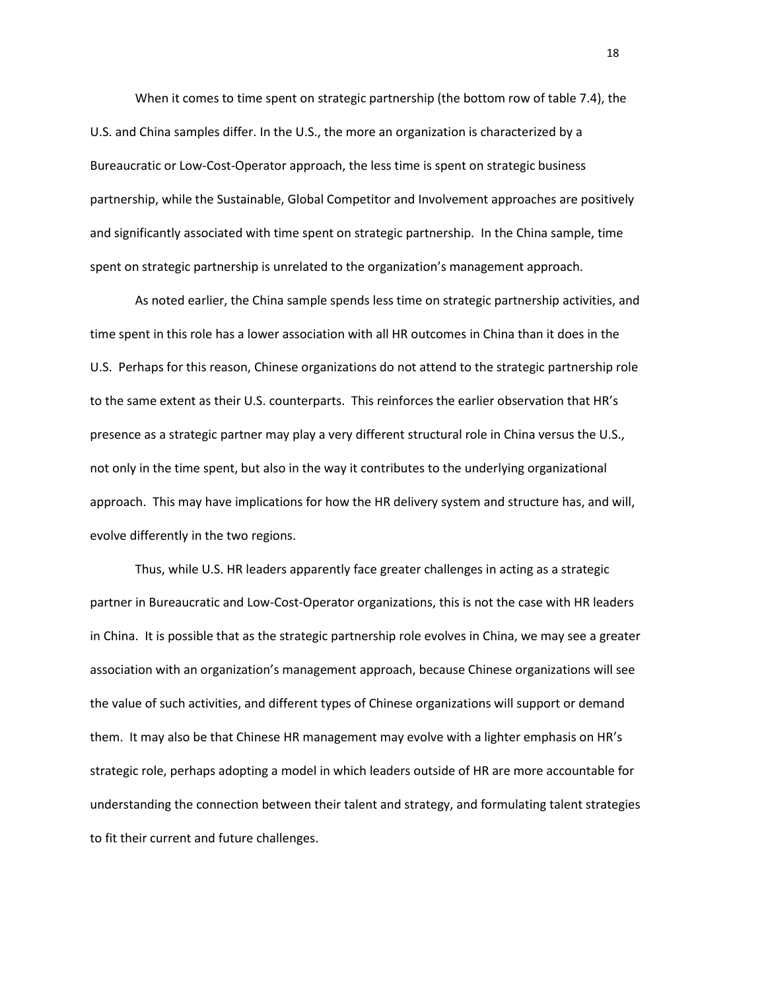When it comes to time spent on strategic partnership (the bottom row of table 7.4), the U.S. and China samples differ. In the U.S., the more an organization is characterized by a Bureaucratic or Low-Cost-Operator approach, the less time is spent on strategic business partnership, while the Sustainable, Global Competitor and Involvement approaches are positively and significantly associated with time spent on strategic partnership. In the China sample, time spent on strategic partnership is unrelated to the organization's management approach.

As noted earlier, the China sample spends less time on strategic partnership activities, and time spent in this role has a lower association with all HR outcomes in China than it does in the U.S. Perhaps for this reason, Chinese organizations do not attend to the strategic partnership role to the same extent as their U.S. counterparts. This reinforces the earlier observation that HR's presence as a strategic partner may play a very different structural role in China versus the U.S., not only in the time spent, but also in the way it contributes to the underlying organizational approach. This may have implications for how the HR delivery system and structure has, and will, evolve differently in the two regions.

Thus, while U.S. HR leaders apparently face greater challenges in acting as a strategic partner in Bureaucratic and Low-Cost-Operator organizations, this is not the case with HR leaders in China. It is possible that as the strategic partnership role evolves in China, we may see a greater association with an organization's management approach, because Chinese organizations will see the value of such activities, and different types of Chinese organizations will support or demand them. It may also be that Chinese HR management may evolve with a lighter emphasis on HR's strategic role, perhaps adopting a model in which leaders outside of HR are more accountable for understanding the connection between their talent and strategy, and formulating talent strategies to fit their current and future challenges.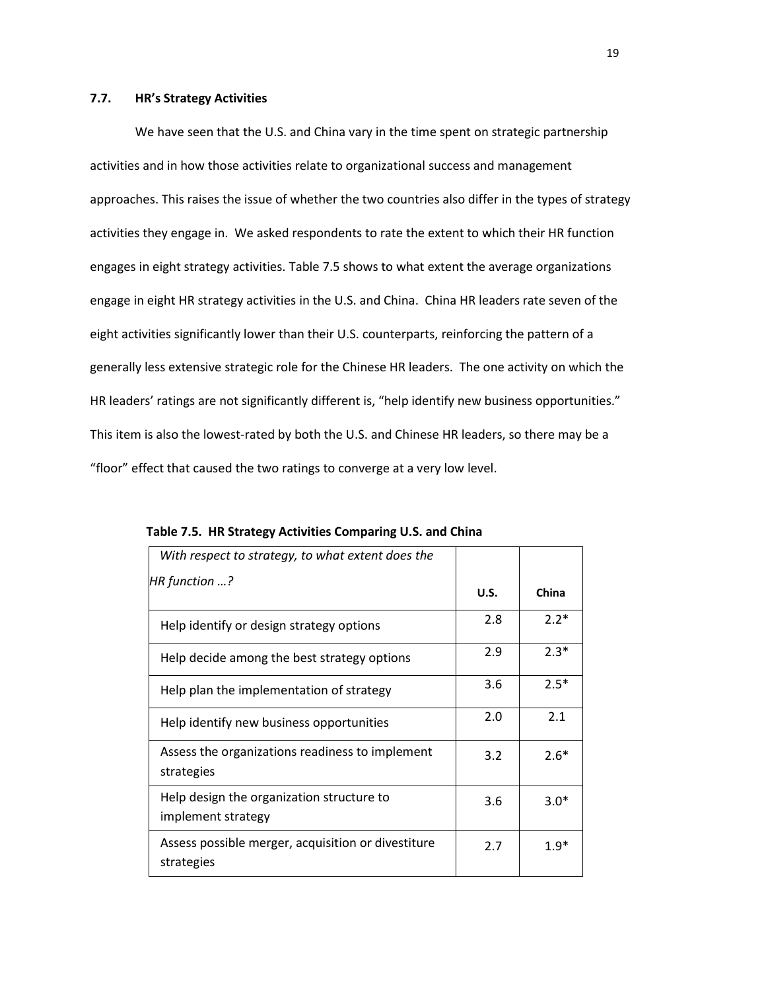#### **7.7. HR's Strategy Activities**

We have seen that the U.S. and China vary in the time spent on strategic partnership activities and in how those activities relate to organizational success and management approaches. This raises the issue of whether the two countries also differ in the types of strategy activities they engage in. We asked respondents to rate the extent to which their HR function engages in eight strategy activities. Table 7.5 shows to what extent the average organizations engage in eight HR strategy activities in the U.S. and China. China HR leaders rate seven of the eight activities significantly lower than their U.S. counterparts, reinforcing the pattern of a generally less extensive strategic role for the Chinese HR leaders. The one activity on which the HR leaders' ratings are not significantly different is, "help identify new business opportunities." This item is also the lowest-rated by both the U.S. and Chinese HR leaders, so there may be a "floor" effect that caused the two ratings to converge at a very low level.

| With respect to strategy, to what extent does the                |             |        |
|------------------------------------------------------------------|-------------|--------|
| HR function ?                                                    | <b>U.S.</b> | China  |
| Help identify or design strategy options                         | 2.8         | $2.2*$ |
| Help decide among the best strategy options                      | 2.9         | $2.3*$ |
| Help plan the implementation of strategy                         | 3.6         | $2.5*$ |
| Help identify new business opportunities                         | 2.0         | 2.1    |
| Assess the organizations readiness to implement<br>strategies    | 3.2         | $2.6*$ |
| Help design the organization structure to<br>implement strategy  | 3.6         | $3.0*$ |
| Assess possible merger, acquisition or divestiture<br>strategies | 2.7         | $1.9*$ |

**Table 7.5. HR Strategy Activities Comparing U.S. and China**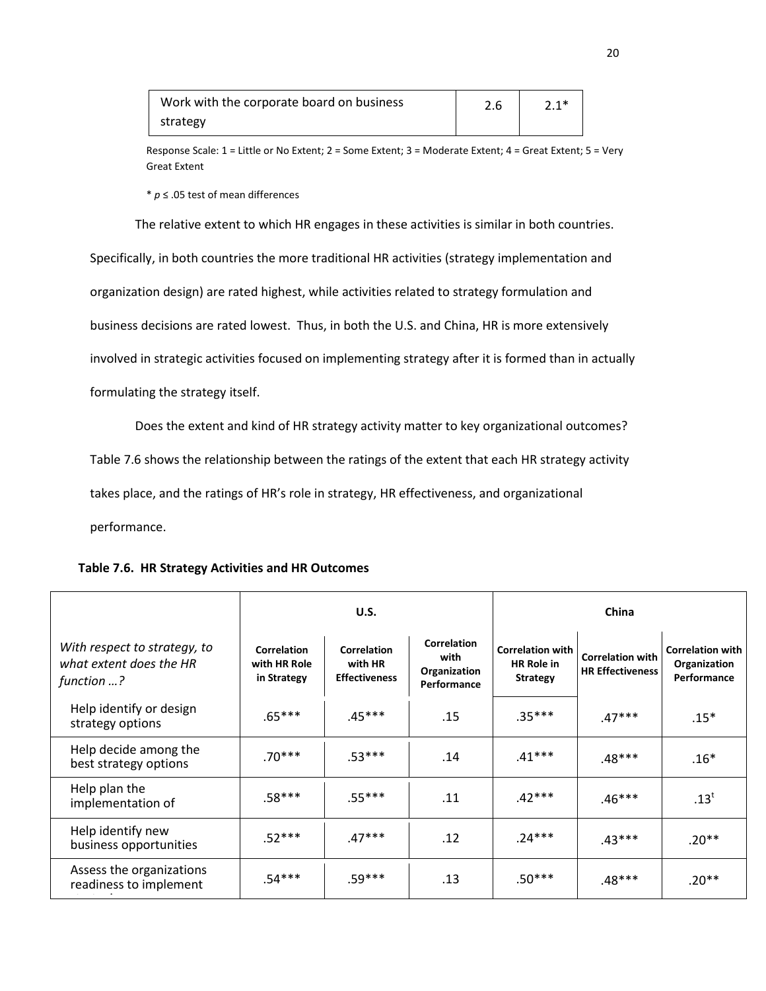| Work with the corporate board on business | 2.6 |  |
|-------------------------------------------|-----|--|
| strategy                                  |     |  |

Response Scale: 1 = Little or No Extent; 2 = Some Extent; 3 = Moderate Extent; 4 = Great Extent; 5 = Very Great Extent

\* *p* ≤ .05 test of mean differences

The relative extent to which HR engages in these activities is similar in both countries.

Specifically, in both countries the more traditional HR activities (strategy implementation and organization design) are rated highest, while activities related to strategy formulation and business decisions are rated lowest. Thus, in both the U.S. and China, HR is more extensively involved in strategic activities focused on implementing strategy after it is formed than in actually formulating the strategy itself.

Does the extent and kind of HR strategy activity matter to key organizational outcomes?

Table 7.6 shows the relationship between the ratings of the extent that each HR strategy activity

takes place, and the ratings of HR's role in strategy, HR effectiveness, and organizational

performance.

|                                                                       |                                                   | U.S.                                           |                                                           | China                                                           |                                                    |                                                        |  |
|-----------------------------------------------------------------------|---------------------------------------------------|------------------------------------------------|-----------------------------------------------------------|-----------------------------------------------------------------|----------------------------------------------------|--------------------------------------------------------|--|
| With respect to strategy, to<br>what extent does the HR<br>function ? | <b>Correlation</b><br>with HR Role<br>in Strategy | Correlation<br>with HR<br><b>Effectiveness</b> | <b>Correlation</b><br>with<br>Organization<br>Performance | <b>Correlation with</b><br><b>HR Role in</b><br><b>Strategy</b> | <b>Correlation with</b><br><b>HR Effectiveness</b> | <b>Correlation with</b><br>Organization<br>Performance |  |
| Help identify or design<br>strategy options                           | $.65***$                                          | $.45***$                                       | .15                                                       | $.35***$                                                        | $.47***$                                           | $.15*$                                                 |  |
| Help decide among the<br>best strategy options                        | $.70***$                                          | $.53***$                                       | .14                                                       | $.41***$                                                        | $.48***$                                           | $.16*$                                                 |  |
| Help plan the<br>implementation of                                    | $.58***$                                          | $.55***$                                       | .11                                                       | $.42***$                                                        | $.46***$                                           | $.13^t$                                                |  |
| Help identify new<br>business opportunities                           | $.52***$                                          | $.47***$                                       | .12                                                       | $.24***$                                                        | $.43***$                                           | .20**                                                  |  |
| Assess the organizations<br>readiness to implement                    | $.54***$                                          | $.59***$                                       | .13                                                       | $.50***$                                                        | $.48***$                                           | $.20**$                                                |  |

# **Table 7.6. HR Strategy Activities and HR Outcomes**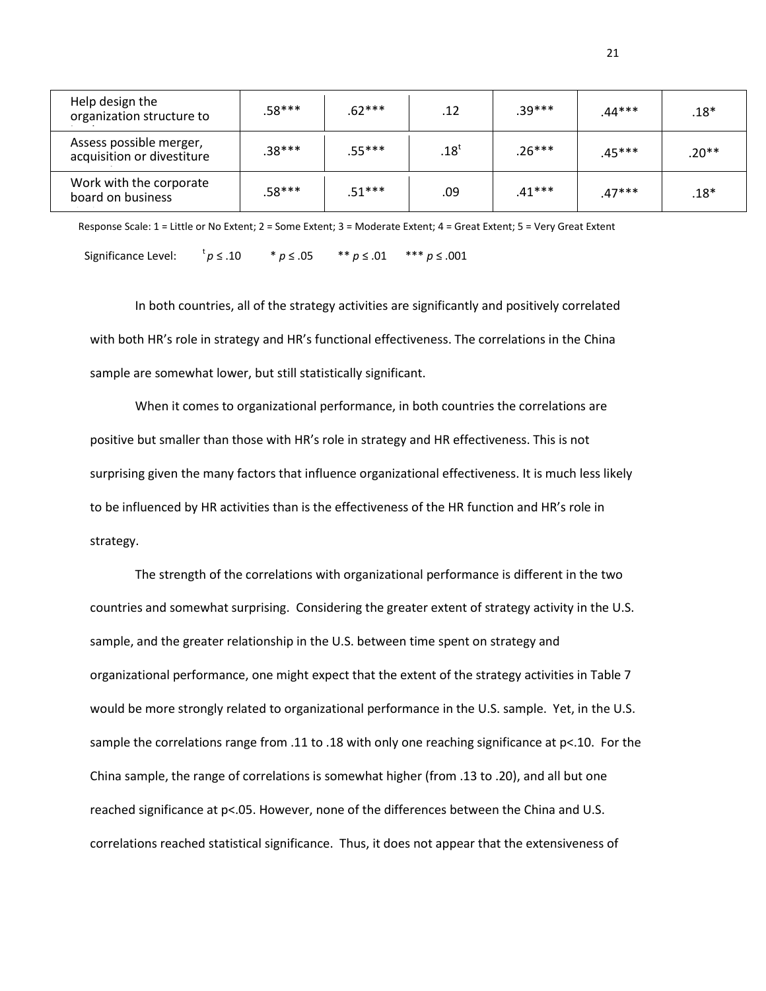| Help design the<br>organization structure to          | $.58***$ | .62***   | $.12 \,$ | $.39***$ | .44*** | $.18*$  |
|-------------------------------------------------------|----------|----------|----------|----------|--------|---------|
| Assess possible merger,<br>acquisition or divestiture | .38***   | $.55***$ | $.18^t$  | .26***   | .45*** | $.20**$ |
| Work with the corporate<br>board on business          | .58***   | $.51***$ | .09      | .41***   | .47*** | $.18*$  |

Response Scale: 1 = Little or No Extent; 2 = Some Extent; 3 = Moderate Extent; 4 = Great Extent; 5 = Very Great Extent

Significance Level:  $t_p \le .10$ *p* ≤ .10 \* *p* ≤ .05 \*\* *p* ≤ .01 \*\*\* *p* ≤ .001

In both countries, all of the strategy activities are significantly and positively correlated with both HR's role in strategy and HR's functional effectiveness. The correlations in the China sample are somewhat lower, but still statistically significant.

When it comes to organizational performance, in both countries the correlations are positive but smaller than those with HR's role in strategy and HR effectiveness. This is not surprising given the many factors that influence organizational effectiveness. It is much less likely to be influenced by HR activities than is the effectiveness of the HR function and HR's role in strategy.

The strength of the correlations with organizational performance is different in the two countries and somewhat surprising. Considering the greater extent of strategy activity in the U.S. sample, and the greater relationship in the U.S. between time spent on strategy and organizational performance, one might expect that the extent of the strategy activities in Table 7 would be more strongly related to organizational performance in the U.S. sample. Yet, in the U.S. sample the correlations range from .11 to .18 with only one reaching significance at p<.10. For the China sample, the range of correlations is somewhat higher (from .13 to .20), and all but one reached significance at p<.05. However, none of the differences between the China and U.S. correlations reached statistical significance. Thus, it does not appear that the extensiveness of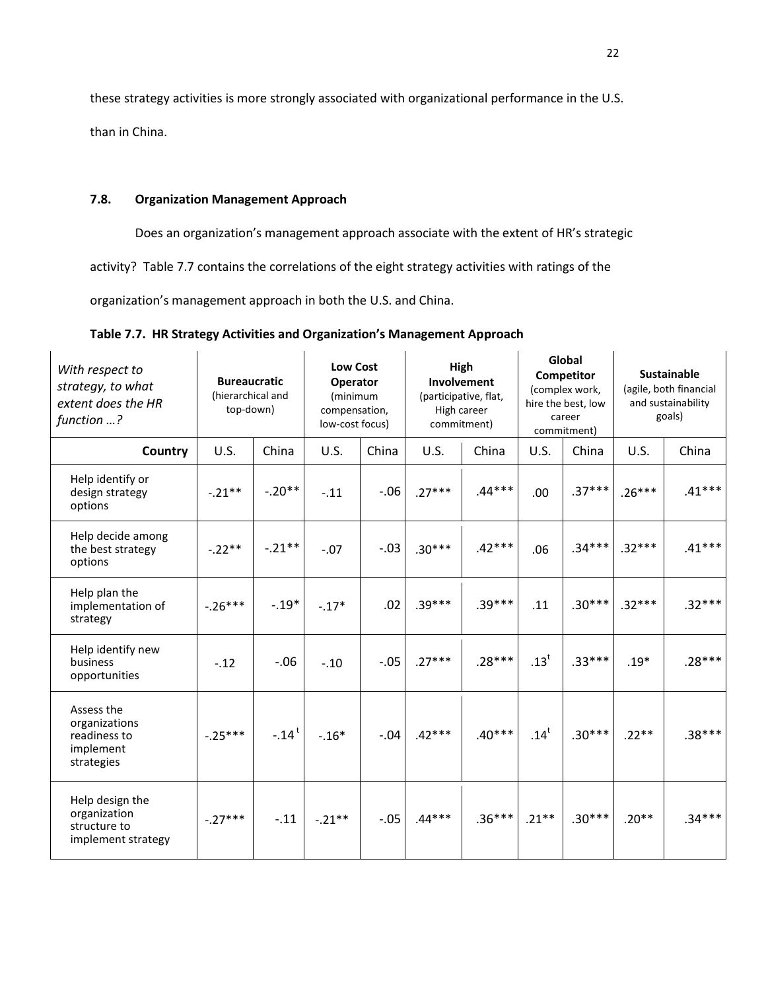these strategy activities is more strongly associated with organizational performance in the U.S.

than in China.

# **7.8. Organization Management Approach**

Does an organization's management approach associate with the extent of HR's strategic

activity? Table 7.7 contains the correlations of the eight strategy activities with ratings of the

organization's management approach in both the U.S. and China.

| With respect to<br>strategy, to what<br>extent does the HR<br>function ? | <b>Bureaucratic</b><br>(hierarchical and<br>top-down) |                     | <b>Low Cost</b><br>Operator<br>(minimum<br>compensation,<br>low-cost focus) |        | High<br>Involvement<br>(participative, flat,<br>High career<br>commitment) |          | Global<br>Competitor<br>(complex work,<br>hire the best, low<br>career<br>commitment) |          | <b>Sustainable</b><br>(agile, both financial<br>and sustainability<br>goals) |          |
|--------------------------------------------------------------------------|-------------------------------------------------------|---------------------|-----------------------------------------------------------------------------|--------|----------------------------------------------------------------------------|----------|---------------------------------------------------------------------------------------|----------|------------------------------------------------------------------------------|----------|
| <b>Country</b>                                                           | U.S.                                                  | China               | <b>U.S.</b>                                                                 | China  | U.S.                                                                       | China    | <b>U.S.</b>                                                                           | China    | <b>U.S.</b>                                                                  | China    |
| Help identify or<br>design strategy<br>options                           | $-.21**$                                              | $-.20**$            | $-.11$                                                                      | $-.06$ | $.27***$                                                                   | $.44***$ | .00                                                                                   | $.37***$ | $.26***$                                                                     | $.41***$ |
| Help decide among<br>the best strategy<br>options                        | $-.22**$                                              | $-.21**$            | $-.07$                                                                      | $-.03$ | $.30***$                                                                   | $.42***$ | .06                                                                                   | $.34***$ | $.32***$                                                                     | $.41***$ |
| Help plan the<br>implementation of<br>strategy                           | $-.26***$                                             | $-.19*$             | $-.17*$                                                                     | .02    | $.39***$                                                                   | $.39***$ | .11                                                                                   | $.30***$ | $.32***$                                                                     | $.32***$ |
| Help identify new<br>business<br>opportunities                           | $-.12$                                                | $-.06$              | $-.10$                                                                      | $-.05$ | $.27***$                                                                   | $.28***$ | $.13^t$                                                                               | $.33***$ | $.19*$                                                                       | $.28***$ |
| Assess the<br>organizations<br>readiness to<br>implement<br>strategies   | $-.25***$                                             | $-.14$ <sup>t</sup> | $-.16*$                                                                     | $-.04$ | $.42***$                                                                   | $.40***$ | .14 <sup>t</sup>                                                                      | $.30***$ | $.22**$                                                                      | $.38***$ |
| Help design the<br>organization<br>structure to<br>implement strategy    | $-.27***$                                             | $-.11$              | $-.21***$                                                                   | $-.05$ | $.44***$                                                                   | $.36***$ | $.21***$                                                                              | $.30***$ | $.20**$                                                                      | $.34***$ |

**Table 7.7. HR Strategy Activities and Organization's Management Approach**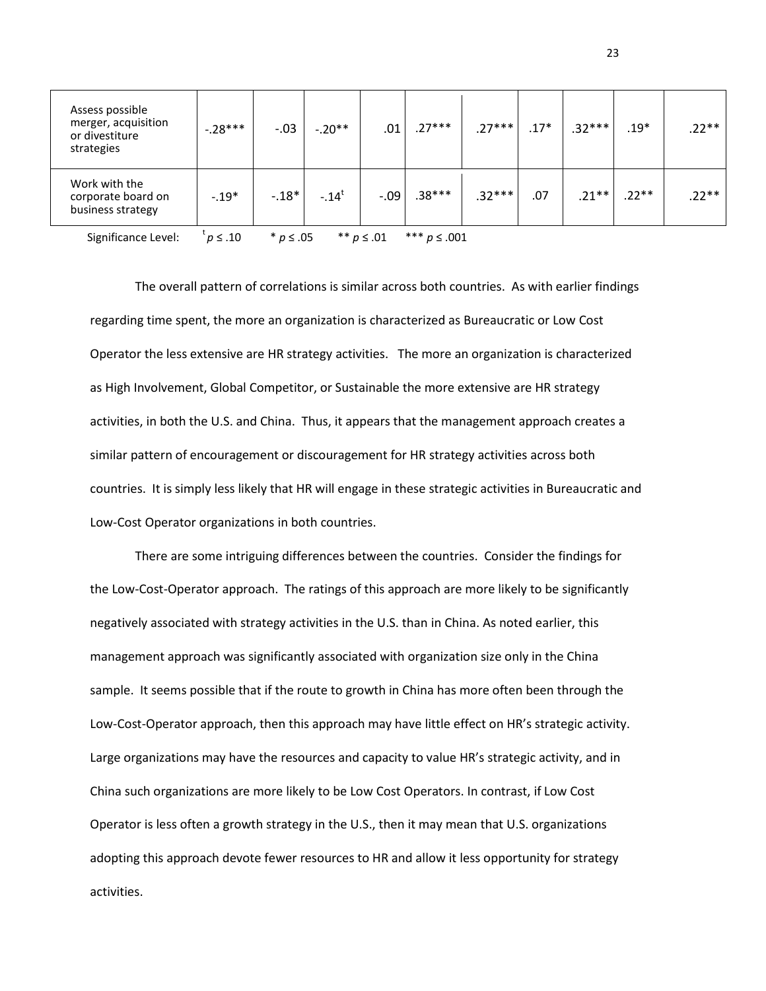| Assess possible<br>merger, acquisition<br>or divestiture<br>strategies                          | $-.28***$ | $-.03$ | $-.20**$ | .01    | $27***$  | $.27***$ | $.17*$ | $.32***$ | $.19*$  | $.22**$ |
|-------------------------------------------------------------------------------------------------|-----------|--------|----------|--------|----------|----------|--------|----------|---------|---------|
| Work with the<br>corporate board on<br>business strategy                                        | $-.19*$   | $-18*$ | $-.14^t$ | $-.09$ | $.38***$ | $.32***$ | .07    | $.21***$ | $.22**$ | $.22**$ |
| *** $p \le .001$<br>Significance Level:<br>** $p \le .01$<br>$p \leq .10$<br>$*$ <i>p</i> ≤ .05 |           |        |          |        |          |          |        |          |         |         |

<u>23 and 23</u>

The overall pattern of correlations is similar across both countries. As with earlier findings regarding time spent, the more an organization is characterized as Bureaucratic or Low Cost Operator the less extensive are HR strategy activities. The more an organization is characterized as High Involvement, Global Competitor, or Sustainable the more extensive are HR strategy activities, in both the U.S. and China. Thus, it appears that the management approach creates a similar pattern of encouragement or discouragement for HR strategy activities across both

countries. It is simply less likely that HR will engage in these strategic activities in Bureaucratic and Low-Cost Operator organizations in both countries.

There are some intriguing differences between the countries. Consider the findings for the Low-Cost-Operator approach. The ratings of this approach are more likely to be significantly negatively associated with strategy activities in the U.S. than in China. As noted earlier, this management approach was significantly associated with organization size only in the China sample. It seems possible that if the route to growth in China has more often been through the Low-Cost-Operator approach, then this approach may have little effect on HR's strategic activity. Large organizations may have the resources and capacity to value HR's strategic activity, and in China such organizations are more likely to be Low Cost Operators. In contrast, if Low Cost Operator is less often a growth strategy in the U.S., then it may mean that U.S. organizations adopting this approach devote fewer resources to HR and allow it less opportunity for strategy activities.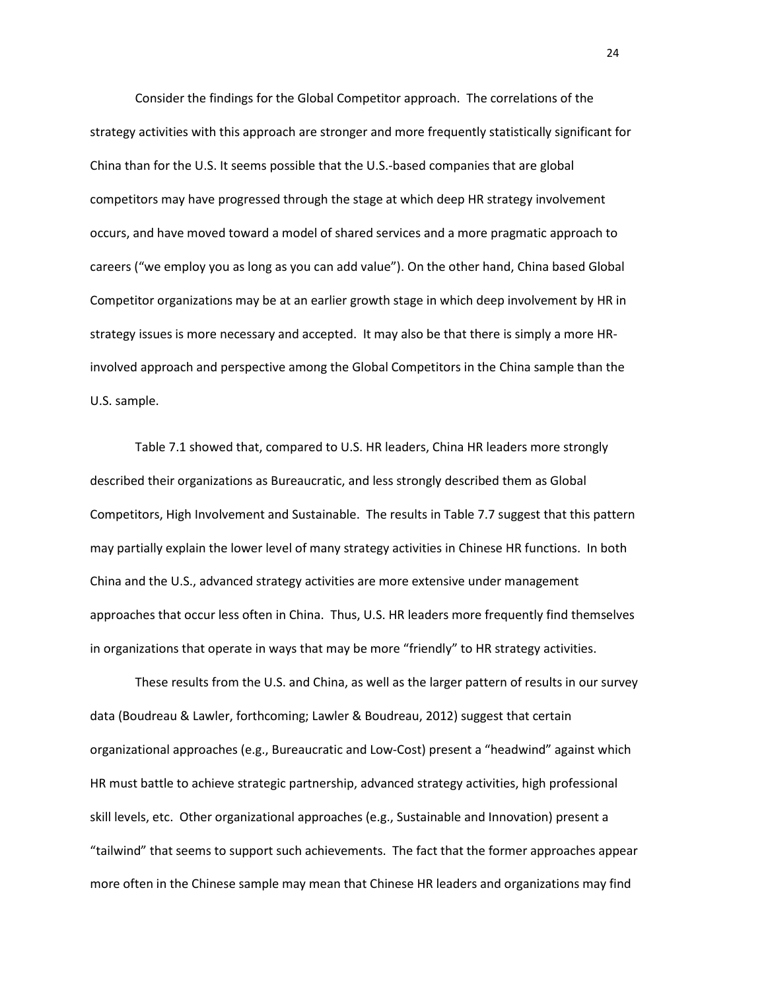Consider the findings for the Global Competitor approach. The correlations of the strategy activities with this approach are stronger and more frequently statistically significant for China than for the U.S. It seems possible that the U.S.-based companies that are global competitors may have progressed through the stage at which deep HR strategy involvement occurs, and have moved toward a model of shared services and a more pragmatic approach to careers ("we employ you as long as you can add value"). On the other hand, China based Global Competitor organizations may be at an earlier growth stage in which deep involvement by HR in strategy issues is more necessary and accepted. It may also be that there is simply a more HRinvolved approach and perspective among the Global Competitors in the China sample than the U.S. sample.

Table 7.1 showed that, compared to U.S. HR leaders, China HR leaders more strongly described their organizations as Bureaucratic, and less strongly described them as Global Competitors, High Involvement and Sustainable. The results in Table 7.7 suggest that this pattern may partially explain the lower level of many strategy activities in Chinese HR functions. In both China and the U.S., advanced strategy activities are more extensive under management approaches that occur less often in China. Thus, U.S. HR leaders more frequently find themselves in organizations that operate in ways that may be more "friendly" to HR strategy activities.

These results from the U.S. and China, as well as the larger pattern of results in our survey data (Boudreau & Lawler, forthcoming; Lawler & Boudreau, 2012) suggest that certain organizational approaches (e.g., Bureaucratic and Low-Cost) present a "headwind" against which HR must battle to achieve strategic partnership, advanced strategy activities, high professional skill levels, etc. Other organizational approaches (e.g., Sustainable and Innovation) present a "tailwind" that seems to support such achievements. The fact that the former approaches appear more often in the Chinese sample may mean that Chinese HR leaders and organizations may find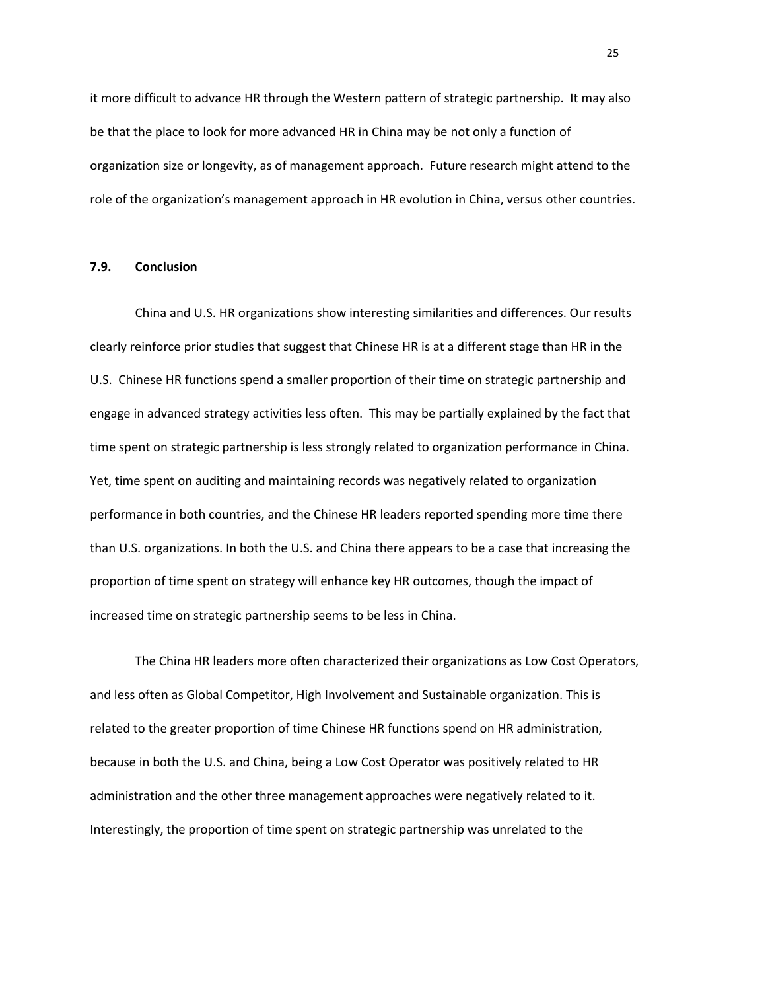it more difficult to advance HR through the Western pattern of strategic partnership. It may also be that the place to look for more advanced HR in China may be not only a function of organization size or longevity, as of management approach. Future research might attend to the role of the organization's management approach in HR evolution in China, versus other countries.

#### **7.9. Conclusion**

China and U.S. HR organizations show interesting similarities and differences. Our results clearly reinforce prior studies that suggest that Chinese HR is at a different stage than HR in the U.S. Chinese HR functions spend a smaller proportion of their time on strategic partnership and engage in advanced strategy activities less often. This may be partially explained by the fact that time spent on strategic partnership is less strongly related to organization performance in China. Yet, time spent on auditing and maintaining records was negatively related to organization performance in both countries, and the Chinese HR leaders reported spending more time there than U.S. organizations. In both the U.S. and China there appears to be a case that increasing the proportion of time spent on strategy will enhance key HR outcomes, though the impact of increased time on strategic partnership seems to be less in China.

The China HR leaders more often characterized their organizations as Low Cost Operators, and less often as Global Competitor, High Involvement and Sustainable organization. This is related to the greater proportion of time Chinese HR functions spend on HR administration, because in both the U.S. and China, being a Low Cost Operator was positively related to HR administration and the other three management approaches were negatively related to it. Interestingly, the proportion of time spent on strategic partnership was unrelated to the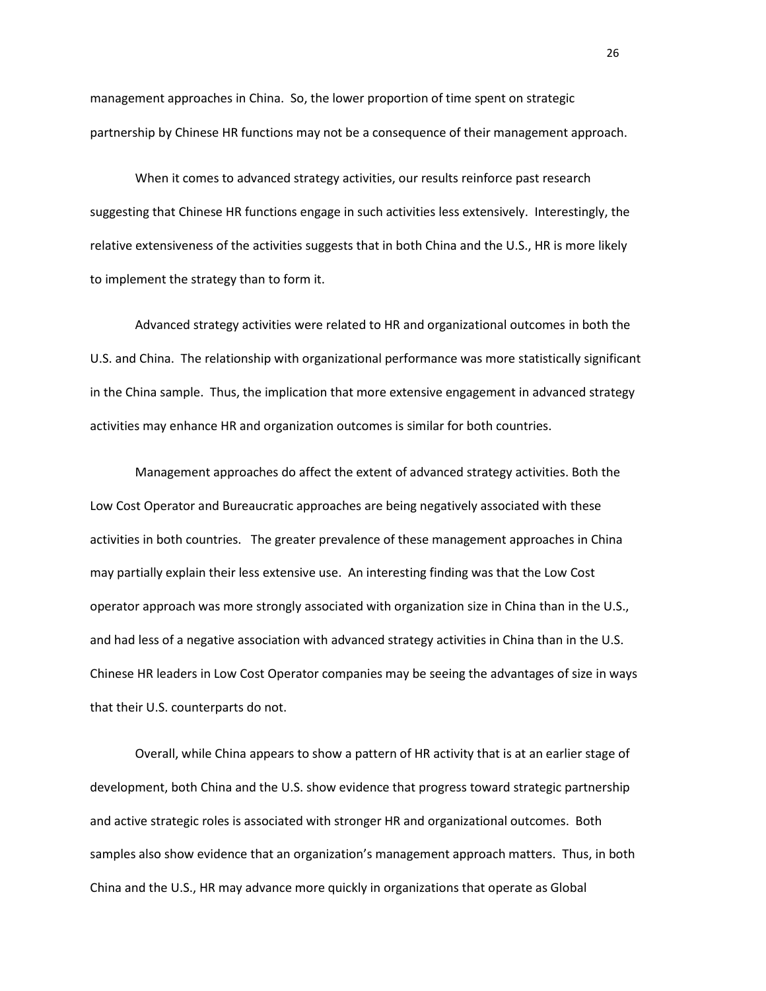management approaches in China. So, the lower proportion of time spent on strategic partnership by Chinese HR functions may not be a consequence of their management approach.

When it comes to advanced strategy activities, our results reinforce past research suggesting that Chinese HR functions engage in such activities less extensively. Interestingly, the relative extensiveness of the activities suggests that in both China and the U.S., HR is more likely to implement the strategy than to form it.

Advanced strategy activities were related to HR and organizational outcomes in both the U.S. and China. The relationship with organizational performance was more statistically significant in the China sample. Thus, the implication that more extensive engagement in advanced strategy activities may enhance HR and organization outcomes is similar for both countries.

Management approaches do affect the extent of advanced strategy activities. Both the Low Cost Operator and Bureaucratic approaches are being negatively associated with these activities in both countries. The greater prevalence of these management approaches in China may partially explain their less extensive use. An interesting finding was that the Low Cost operator approach was more strongly associated with organization size in China than in the U.S., and had less of a negative association with advanced strategy activities in China than in the U.S. Chinese HR leaders in Low Cost Operator companies may be seeing the advantages of size in ways that their U.S. counterparts do not.

Overall, while China appears to show a pattern of HR activity that is at an earlier stage of development, both China and the U.S. show evidence that progress toward strategic partnership and active strategic roles is associated with stronger HR and organizational outcomes. Both samples also show evidence that an organization's management approach matters. Thus, in both China and the U.S., HR may advance more quickly in organizations that operate as Global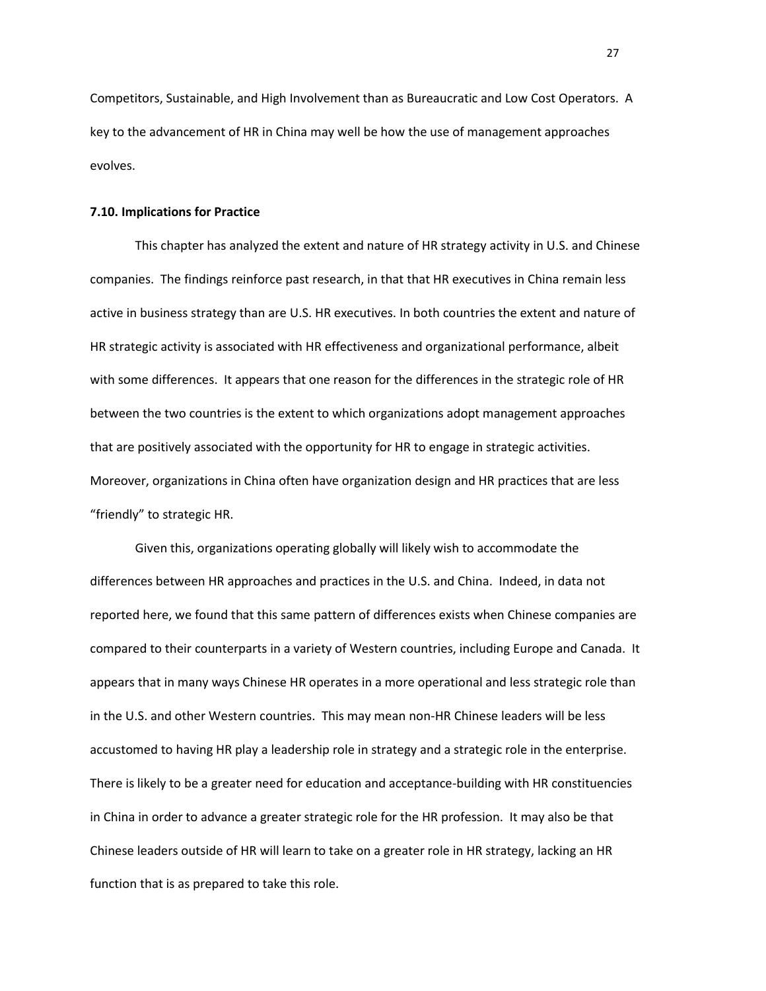Competitors, Sustainable, and High Involvement than as Bureaucratic and Low Cost Operators. A key to the advancement of HR in China may well be how the use of management approaches evolves.

#### **7.10. Implications for Practice**

This chapter has analyzed the extent and nature of HR strategy activity in U.S. and Chinese companies. The findings reinforce past research, in that that HR executives in China remain less active in business strategy than are U.S. HR executives. In both countries the extent and nature of HR strategic activity is associated with HR effectiveness and organizational performance, albeit with some differences. It appears that one reason for the differences in the strategic role of HR between the two countries is the extent to which organizations adopt management approaches that are positively associated with the opportunity for HR to engage in strategic activities. Moreover, organizations in China often have organization design and HR practices that are less "friendly" to strategic HR.

Given this, organizations operating globally will likely wish to accommodate the differences between HR approaches and practices in the U.S. and China. Indeed, in data not reported here, we found that this same pattern of differences exists when Chinese companies are compared to their counterparts in a variety of Western countries, including Europe and Canada. It appears that in many ways Chinese HR operates in a more operational and less strategic role than in the U.S. and other Western countries. This may mean non-HR Chinese leaders will be less accustomed to having HR play a leadership role in strategy and a strategic role in the enterprise. There is likely to be a greater need for education and acceptance-building with HR constituencies in China in order to advance a greater strategic role for the HR profession. It may also be that Chinese leaders outside of HR will learn to take on a greater role in HR strategy, lacking an HR function that is as prepared to take this role.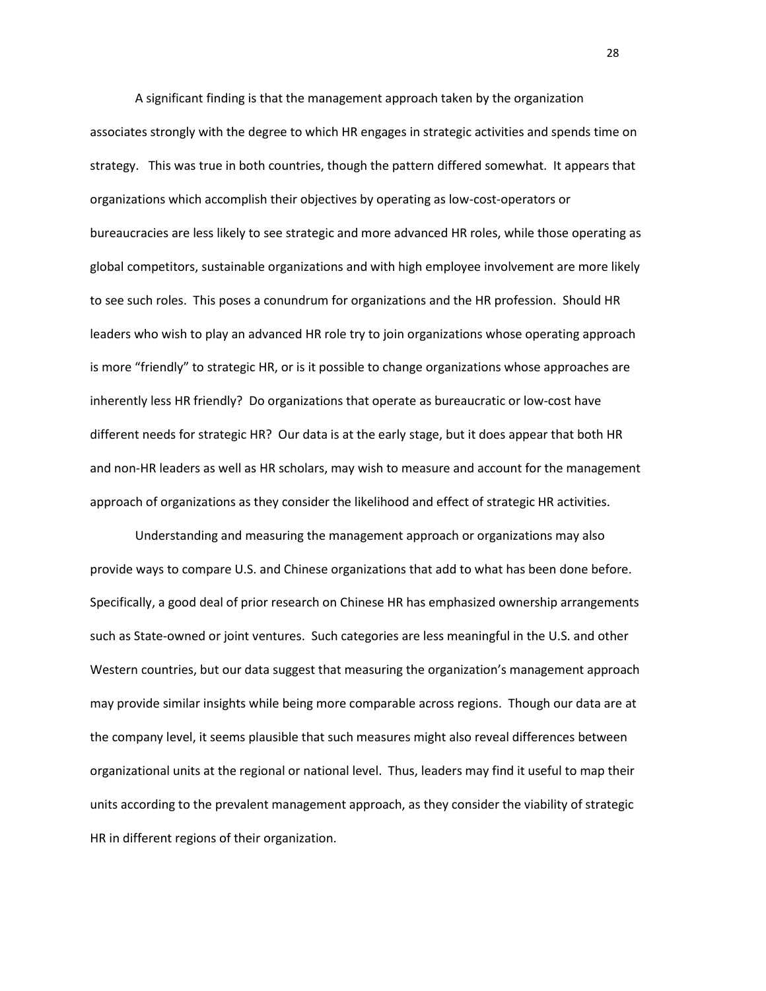A significant finding is that the management approach taken by the organization associates strongly with the degree to which HR engages in strategic activities and spends time on strategy. This was true in both countries, though the pattern differed somewhat. It appears that organizations which accomplish their objectives by operating as low-cost-operators or bureaucracies are less likely to see strategic and more advanced HR roles, while those operating as global competitors, sustainable organizations and with high employee involvement are more likely to see such roles. This poses a conundrum for organizations and the HR profession. Should HR leaders who wish to play an advanced HR role try to join organizations whose operating approach is more "friendly" to strategic HR, or is it possible to change organizations whose approaches are inherently less HR friendly? Do organizations that operate as bureaucratic or low-cost have different needs for strategic HR? Our data is at the early stage, but it does appear that both HR and non-HR leaders as well as HR scholars, may wish to measure and account for the management approach of organizations as they consider the likelihood and effect of strategic HR activities.

Understanding and measuring the management approach or organizations may also provide ways to compare U.S. and Chinese organizations that add to what has been done before. Specifically, a good deal of prior research on Chinese HR has emphasized ownership arrangements such as State-owned or joint ventures. Such categories are less meaningful in the U.S. and other Western countries, but our data suggest that measuring the organization's management approach may provide similar insights while being more comparable across regions. Though our data are at the company level, it seems plausible that such measures might also reveal differences between organizational units at the regional or national level. Thus, leaders may find it useful to map their units according to the prevalent management approach, as they consider the viability of strategic HR in different regions of their organization.

<u>28 and 28</u>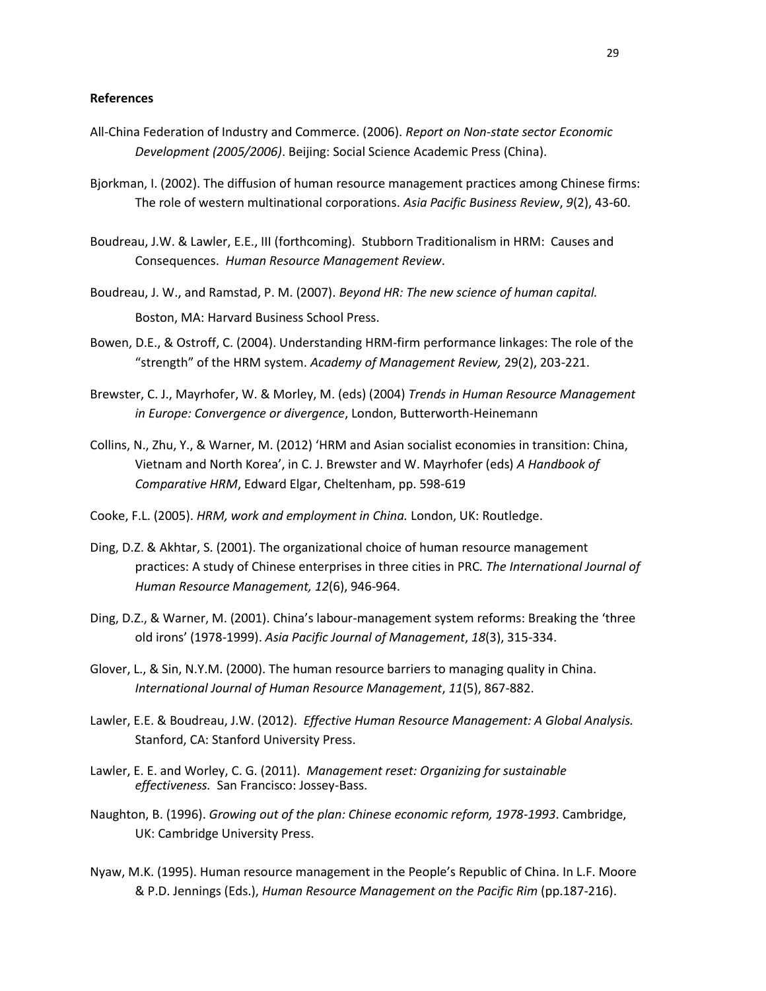#### **References**

- All-China Federation of Industry and Commerce. (2006). *Report on Non-state sector Economic Development (2005/2006)*. Beijing: Social Science Academic Press (China).
- Bjorkman, I. (2002). The diffusion of human resource management practices among Chinese firms: The role of western multinational corporations. *Asia Pacific Business Review*, *9*(2), 43-60.
- Boudreau, J.W. & Lawler, E.E., III (forthcoming). Stubborn Traditionalism in HRM: Causes and Consequences. *Human Resource Management Review*.
- Boudreau, J. W., and Ramstad, P. M. (2007). *Beyond HR: The new science of human capital.* Boston, MA: Harvard Business School Press.
- Bowen, D.E., & Ostroff, C. (2004). Understanding HRM-firm performance linkages: The role of the "strength" of the HRM system. *Academy of Management Review,* 29(2), 203-221.
- Brewster, C. J., Mayrhofer, W. & Morley, M. (eds) (2004) *Trends in Human Resource Management in Europe: Convergence or divergence*, London, Butterworth-Heinemann
- Collins, N., Zhu, Y., & Warner, M. (2012) 'HRM and Asian socialist economies in transition: China, Vietnam and North Korea', in C. J. Brewster and W. Mayrhofer (eds) *A Handbook of Comparative HRM*, Edward Elgar, Cheltenham, pp. 598-619
- Cooke, F.L. (2005). *HRM, work and employment in China.* London, UK: Routledge.
- Ding, D.Z. & Akhtar, S. (2001). The organizational choice of human resource management practices: A study of Chinese enterprises in three cities in PRC*. The International Journal of Human Resource Management, 12*(6), 946-964.
- Ding, D.Z., & Warner, M. (2001). China's labour-management system reforms: Breaking the 'three old irons' (1978-1999). *Asia Pacific Journal of Management*, *18*(3), 315-334.
- Glover, L., & Sin, N.Y.M. (2000). The human resource barriers to managing quality in China. *International Journal of Human Resource Management*, *11*(5), 867-882.
- Lawler, E.E. & Boudreau, J.W. (2012). *Effective Human Resource Management: A Global Analysis.* Stanford, CA: Stanford University Press.
- Lawler, E. E. and Worley, C. G. (2011). *Management reset: Organizing for sustainable effectiveness.* San Francisco: Jossey-Bass.
- Naughton, B. (1996). *Growing out of the plan: Chinese economic reform, 1978-1993*. Cambridge, UK: Cambridge University Press.
- Nyaw, M.K. (1995). Human resource management in the People's Republic of China. In L.F. Moore & P.D. Jennings (Eds.), *Human Resource Management on the Pacific Rim* (pp.187-216).